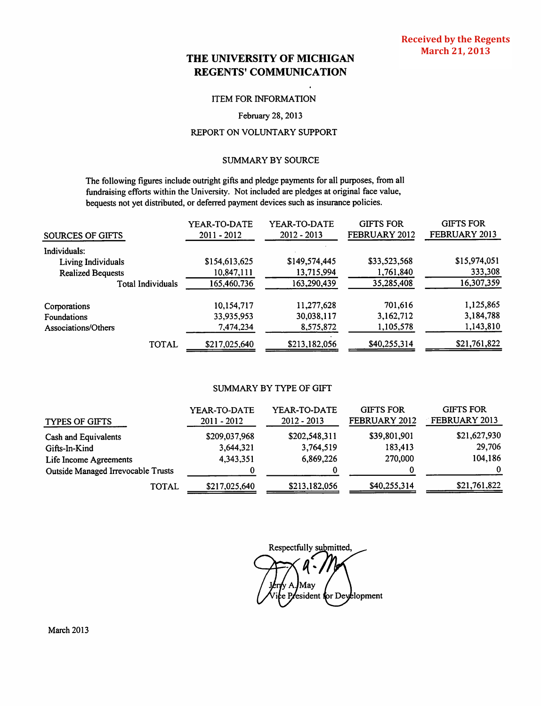# THE UNIVERSITY OF MICHIGAN **REGENTS' COMMUNICATION**

#### **ITEM FOR INFORMATION**

#### February 28, 2013

## REPORT ON VOLUNTARY SUPPORT

## **SUMMARY BY SOURCE**

The following figures include outright gifts and pledge payments for all purposes, from all fundraising efforts within the University. Not included are pledges at original face value, bequests not yet distributed, or deferred payment devices such as insurance policies.

| SOURCES OF GIFTS         | YEAR-TO-DATE<br>2011 - 2012 | YEAR-TO-DATE<br>$2012 - 2013$ | <b>GIFTS FOR</b><br>FEBRUARY 2012 | <b>GIFTS FOR</b><br>FEBRUARY 2013 |
|--------------------------|-----------------------------|-------------------------------|-----------------------------------|-----------------------------------|
| Individuals:             |                             |                               |                                   |                                   |
| Living Individuals       | \$154,613,625               | \$149,574,445                 | \$33,523,568                      | \$15,974,051                      |
| <b>Realized Bequests</b> | 10,847,111                  | 13,715,994                    | 1,761,840                         | 333,308                           |
| <b>Total Individuals</b> | 165,460,736                 | 163,290,439                   | 35,285,408                        | 16,307,359                        |
| Corporations             | 10,154,717                  | 11,277,628                    | 701,616                           | 1,125,865                         |
| Foundations              | 33,935,953                  | 30,038,117                    | 3,162,712                         | 3,184,788                         |
| Associations/Others      | 7,474,234                   | 8,575,872                     | 1,105,578                         | 1,143,810                         |
| TOTAL                    | \$217,025,640               | \$213,182,056                 | \$40,255,314                      | \$21,761,822                      |

## SUMMARY BY TYPE OF GIFT

| <b>TYPES OF GIFTS</b>              | YEAR-TO-DATE<br>$2011 - 2012$ | YEAR-TO-DATE<br>$2012 - 2013$ | <b>GIFTS FOR</b><br>FEBRUARY 2012 | <b>GIFTS FOR</b><br>FEBRUARY 2013 |
|------------------------------------|-------------------------------|-------------------------------|-----------------------------------|-----------------------------------|
| Cash and Equivalents               | \$209,037,968                 | \$202,548,311                 | \$39,801,901                      | \$21,627,930                      |
| Gifts-In-Kind                      | 3,644,321                     | 3,764,519                     | 183,413                           | 29,706                            |
| Life Income Agreements             | 4,343,351                     | 6,869,226                     | 270,000                           | 104,186                           |
| Outside Managed Irrevocable Trusts |                               |                               |                                   |                                   |
| <b>TOTAL</b>                       | \$217,025,640                 | \$213,182,056                 | \$40,255,314                      | \$21,761,822                      |

| Respectfully submitted, |  |                                                |
|-------------------------|--|------------------------------------------------|
|                         |  |                                                |
|                         |  |                                                |
|                         |  | Jerry A.JMay<br>Vice President for Deyelopment |
|                         |  |                                                |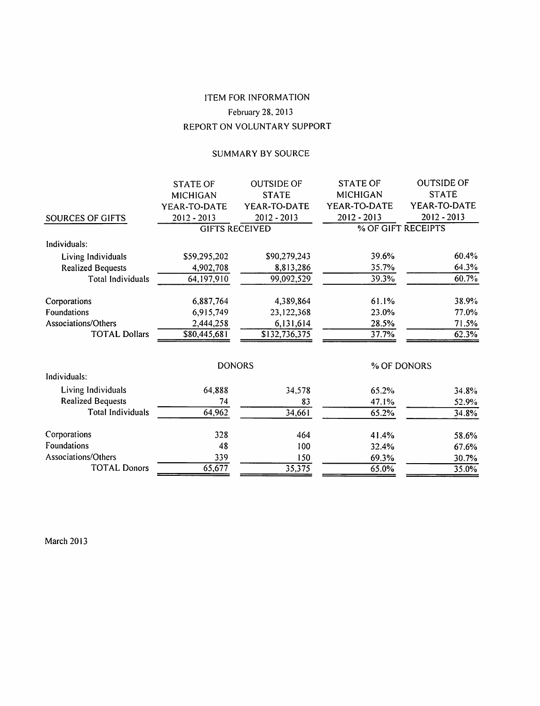# **ITEM FOR INFORMATION** February 28, 2013 REPORT ON VOLUNTARY SUPPORT

## SUMMARY BY SOURCE

|                          | <b>STATE OF</b> | <b>OUTSIDE OF</b>     | <b>STATE OF</b> | <b>OUTSIDE OF</b>  |
|--------------------------|-----------------|-----------------------|-----------------|--------------------|
|                          | <b>MICHIGAN</b> | <b>STATE</b>          | MICHIGAN        | <b>STATE</b>       |
|                          | YEAR-TO-DATE    | YEAR-TO-DATE          | YEAR-TO-DATE    | YEAR-TO-DATE       |
| SOURCES OF GIFTS         | 2012 - 2013     | $2012 - 2013$         | $2012 - 2013$   | 2012 - 2013        |
|                          |                 | <b>GIFTS RECEIVED</b> |                 | % OF GIFT RECEIPTS |
| Individuals:             |                 |                       |                 |                    |
| Living Individuals       | \$59,295,202    | \$90,279,243          | 39.6%           | 60.4%              |
| <b>Realized Bequests</b> | 4,902,708       | 8,813,286             | 35.7%           | 64.3%              |
| <b>Total Individuals</b> | 64,197,910      | 99,092,529            | 39.3%           | 60.7%              |
| Corporations             | 6,887,764       | 4,389,864             | 61.1%           | 38.9%              |
| Foundations              | 6,915,749       | 23,122,368            | 23.0%           | 77.0%              |
| Associations/Others      | 2,444,258       | 6,131,614             | 28.5%           | 71.5%              |
| <b>TOTAL Dollars</b>     | \$80,445,681    | \$132,736,375         | 37.7%           | 62.3%              |
|                          |                 | <b>DONORS</b>         |                 | % OF DONORS        |
| Individuals:             |                 |                       |                 |                    |
| Living Individuals       | 64,888          | 34,578                | 65.2%           | 34.8%              |
| <b>Realized Bequests</b> | 74              | 83                    | 47.1%           | 52.9%              |
| <b>Total Individuals</b> | 64,962          | 34,661                | 65.2%           | 34.8%              |
| Corporations             | 328             | 464                   | 41.4%           | 58.6%              |
| Foundations              | 48              | 100                   | 32.4%           | 67.6%              |
| Associations/Others      | 339             | 150                   | 69.3%           | 30.7%              |
| <b>TOTAL Donors</b>      | 65,677          | 35,375                | 65.0%           | 35.0%              |

**March 2013**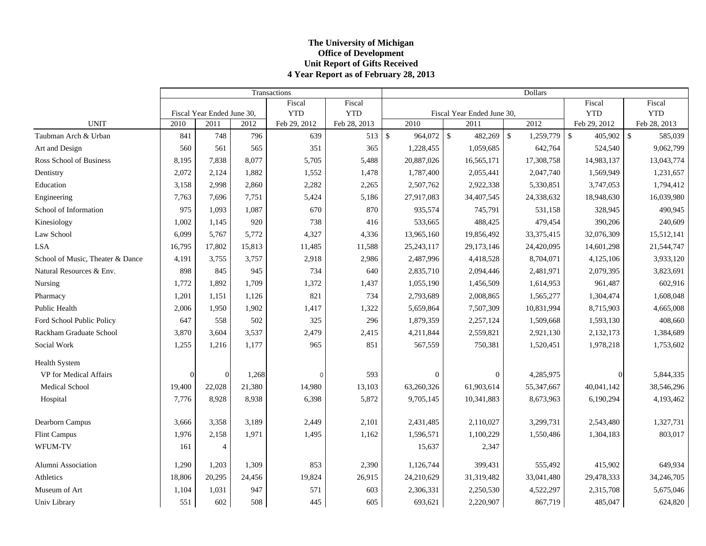### **The Universit y of Michi gan Office of Development Unit Report of Gifts Received 4 Year Report as of Februar y 28, 2013**

|                                  |          |                            |        | Transactions |              | <b>Dollars</b> |                  |                            |               |                   |                    |                               |
|----------------------------------|----------|----------------------------|--------|--------------|--------------|----------------|------------------|----------------------------|---------------|-------------------|--------------------|-------------------------------|
|                                  |          |                            |        | Fiscal       | Fiscal       |                |                  |                            |               |                   | Fiscal             | Fiscal                        |
|                                  |          | Fiscal Year Ended June 30, |        | <b>YTD</b>   | <b>YTD</b>   |                |                  | Fiscal Year Ended June 30, |               |                   | <b>YTD</b>         | <b>YTD</b>                    |
| <b>UNIT</b>                      | 2010     | 2011                       | 2012   | Feb 29, 2012 | Feb 28, 2013 |                | 2010             | 2011                       |               | $\overline{2012}$ | Feb 29, 2012       | Feb 28, 2013                  |
| Taubman Arch & Urban             | 841      | 748                        | 796    | 639          | $513$ \$     |                | 964,072 \$       | 482,269                    | $\mathcal{S}$ | 1,259,779         | $\sqrt$<br>405,902 | $\mathbf{\hat{S}}$<br>585,039 |
| Art and Design                   | 560      | 561                        | 565    | 351          | 365          |                | 1,228,455        | 1,059,685                  |               | 642,764           | 524,540            | 9,062,799                     |
| Ross School of Business          | 8,195    | 7,838                      | 8,077  | 5,705        | 5,488        |                | 20,887,026       | 16,565,171                 |               | 17,308,758        | 14,983,137         | 13,043,774                    |
| Dentistry                        | 2,072    | 2,124                      | 1,882  | 1,552        | 1,478        |                | 1,787,400        | 2,055,441                  |               | 2,047,740         | 1,569,949          | 1,231,657                     |
| Education                        | 3,158    | 2,998                      | 2,860  | 2,282        | 2,265        |                | 2,507,762        | 2,922,338                  |               | 5,330,851         | 3,747,053          | 1,794,412                     |
| Engineering                      | 7,763    | 7,696                      | 7,751  | 5,424        | 5,186        |                | 27,917,083       | 34,407,545                 |               | 24,338,632        | 18,948,630         | 16,039,980                    |
| School of Information            | 975      | 1,093                      | 1,087  | 670          | 870          |                | 935,574          | 745,791                    |               | 531,158           | 328,945            | 490,945                       |
| Kinesiology                      | 1,002    | 1.145                      | 920    | 738          | 416          |                | 533,665          | 488,425                    |               | 479,454           | 390,206            | 240,609                       |
| Law School                       | 6,099    | 5,767                      | 5,772  | 4,327        | 4,336        |                | 13,965,160       | 19,856,492                 |               | 33, 375, 415      | 32,076,309         | 15,512,141                    |
| <b>LSA</b>                       | 16,795   | 17,802                     | 15,813 | 11,485       | 11,588       |                | 25, 243, 117     | 29,173,146                 |               | 24,420,095        | 14,601,298         | 21,544,747                    |
| School of Music, Theater & Dance | 4,191    | 3,755                      | 3,757  | 2,918        | 2,986        |                | 2,487,996        | 4,418,528                  |               | 8,704,071         | 4,125,106          | 3,933,120                     |
| Natural Resources & Env.         | 898      | 845                        | 945    | 734          | 640          |                | 2,835,710        | 2,094,446                  |               | 2,481,971         | 2,079,395          | 3,823,691                     |
| Nursing                          | 1,772    | 1,892                      | 1,709  | 1,372        | 1,437        |                | 1,055,190        | 1,456,509                  |               | 1,614,953         | 961,487            | 602,916                       |
| Pharmacy                         | 1,201    | 1,151                      | 1,126  | 821          | 734          |                | 2,793,689        | 2,008,865                  |               | 1,565,277         | 1,304,474          | 1,608,048                     |
| Public Health                    | 2,006    | 1,950                      | 1,902  | 1,417        | 1,322        |                | 5,659,864        | 7,507,309                  |               | 10,831,994        | 8,715,903          | 4,665,008                     |
| Ford School Public Policy        | 647      | 558                        | 502    | 325          | 296          |                | 1,879,359        | 2,257,124                  |               | 1,509,668         | 1,593,130          | 408,660                       |
| Rackham Graduate School          | 3,870    | 3,604                      | 3,537  | 2,479        | 2,415        |                | 4,211,844        | 2,559,821                  |               | 2,921,130         | 2,132,173          | 1,384,689                     |
| Social Work                      | 1,255    | 1,216                      | 1,177  | 965          | 851          |                | 567,559          | 750,381                    |               | 1,520,451         | 1,978,218          | 1,753,602                     |
| Health System                    |          |                            |        |              |              |                |                  |                            |               |                   |                    |                               |
| VP for Medical Affairs           | $\Omega$ | $\Omega$                   | 1,268  | $\Omega$     | 593          |                | $\boldsymbol{0}$ | $\overline{0}$             |               | 4,285,975         | $\Omega$           | 5,844,335                     |
| Medical School                   | 19,400   | 22,028                     | 21,380 | 14,980       | 13,103       |                | 63,260,326       | 61,903,614                 |               | 55,347,667        | 40,041,142         | 38,546,296                    |
| Hospital                         | 7,776    | 8,928                      | 8,938  | 6,398        | 5,872        |                | 9,705,145        | 10,341,883                 |               | 8,673,963         | 6,190,294          | 4,193,462                     |
| Dearborn Campus                  | 3,666    | 3,358                      | 3,189  | 2,449        | 2,101        |                | 2,431,485        | 2,110,027                  |               | 3,299,731         | 2,543,480          | 1,327,731                     |
| <b>Flint Campus</b>              | 1,976    | 2,158                      | 1,971  | 1,495        | 1,162        |                | 1,596,571        | 1,100,229                  |               | 1,550,486         | 1,304,183          | 803,017                       |
| WFUM-TV                          | 161      | $\overline{4}$             |        |              |              |                | 15,637           | 2,347                      |               |                   |                    |                               |
| <b>Alumni Association</b>        | 1,290    | 1,203                      | 1,309  | 853          | 2,390        |                | 1,126,744        | 399,431                    |               | 555,492           | 415,902            | 649,934                       |
| Athletics                        | 18,806   | 20,295                     | 24,456 | 19,824       | 26,915       |                | 24,210,629       | 31,319,482                 |               | 33,041,480        | 29,478,333         | 34,246,705                    |
| Museum of Art                    | 1,104    | 1,031                      | 947    | 571          | 603          |                | 2,306,331        | 2,250,530                  |               | 4,522,297         | 2,315,708          | 5,675,046                     |
| Univ Library                     | 551      | 602                        | 508    | 445          | 605          |                | 693,621          | 2,220,907                  |               | 867,719           | 485,047            | 624,820                       |
|                                  |          |                            |        |              |              |                |                  |                            |               |                   |                    |                               |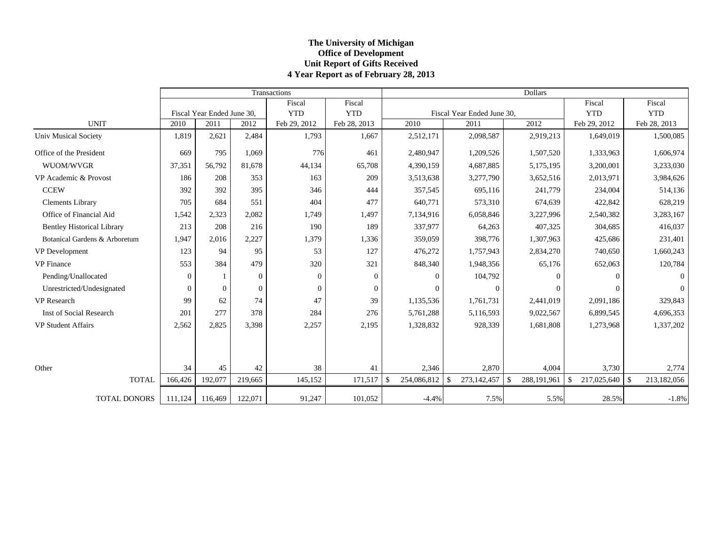## **The Universit y of Michi gan Office of Development Unit Report of Gifts Received 4 Year Report as of Februar y 28, 2013**

|                                   |                  |                            |              | Transactions |              |                   |                            | Dollars            |                                   |                |
|-----------------------------------|------------------|----------------------------|--------------|--------------|--------------|-------------------|----------------------------|--------------------|-----------------------------------|----------------|
|                                   |                  |                            |              | Fiscal       | Fiscal       |                   |                            |                    | Fiscal                            | Fiscal         |
|                                   |                  | Fiscal Year Ended June 30, |              | <b>YTD</b>   | <b>YTD</b>   |                   | Fiscal Year Ended June 30, |                    | <b>YTD</b>                        | <b>YTD</b>     |
| <b>UNIT</b>                       | 2010             | 2011                       | 2012         | Feb 29, 2012 | Feb 28, 2013 | 2010              | 2011                       | 2012               | Feb 29, 2012                      | Feb 28, 2013   |
| <b>Univ Musical Society</b>       | 1,819            | 2,621                      | 2,484        | 1,793        | 1,667        | 2,512,171         | 2,098,587                  | 2,919,213          | 1,649,019                         | 1,500,085      |
| Office of the President           | 669              | 795                        | 1,069        | 776          | 461          | 2,480,947         | 1,209,526                  | 1,507,520          | 1,333,963                         | 1,606,974      |
| WUOM/WVGR                         | 37,351           | 56.792                     | 81.678       | 44,134       | 65,708       | 4,390,159         | 4,687,885                  | 5,175,195          | 3,200,001                         | 3,233,030      |
| VP Academic & Provost             | 186              | 208                        | 353          | 163          | 209          | 3,513,638         | 3,277,790                  | 3,652,516          | 2,013,971                         | 3,984,626      |
| <b>CCEW</b>                       | 392              | 392                        | 395          | 346          | 444          | 357,545           | 695,116                    | 241,779            | 234,004                           | 514,136        |
| <b>Clements Library</b>           | 705              | 684                        | 551          | 404          | 477          | 640,771           | 573,310                    | 674,639            | 422,842                           | 628,219        |
| Office of Financial Aid           | 1,542            | 2,323                      | 2,082        | 1,749        | 1,497        | 7,134,916         | 6,058,846                  | 3,227,996          | 2,540,382                         | 3,283,167      |
| <b>Bentley Historical Library</b> | 213              | 208                        | 216          | 190          | 189          | 337,977           | 64,263                     | 407,325            | 304,685                           | 416,037        |
| Botanical Gardens & Arboretum     | 1,947            | 2,016                      | 2,227        | 1,379        | 1,336        | 359,059           | 398,776                    | 1,307,963          | 425,686                           | 231,401        |
| VP Development                    | 123              | 94                         | 95           | 53           | 127          | 476,272           | 1,757,943                  | 2,834,270          | 740,650                           | 1,660,243      |
| <b>VP</b> Finance                 | 553              | 384                        | 479          | 320          | 321          | 848,340           | 1,948,356                  | 65,176             | 652,063                           | 120,784        |
| Pending/Unallocated               | $\boldsymbol{0}$ | $\mathbf{1}$               | $\mathbf{0}$ | $\Omega$     | $\Omega$     | $\Omega$          | 104,792                    | $\Omega$           | $\Omega$                          | $\overline{0}$ |
| Unrestricted/Undesignated         | $\overline{0}$   | $\theta$                   | $\mathbf{0}$ | $\Omega$     | $\Omega$     | $\Omega$          | $\theta$                   | 0                  | $\Omega$                          | $\overline{0}$ |
| <b>VP</b> Research                | 99               | 62                         | 74           | 47           | 39           | 1,135,536         | 1,761,731                  | 2,441,019          | 2,091,186                         | 329,843        |
| <b>Inst of Social Research</b>    | 201              | 277                        | 378          | 284          | 276          | 5,761,288         | 5,116,593                  | 9,022,567          | 6,899,545                         | 4,696,353      |
| <b>VP Student Affairs</b>         | 2,562            | 2,825                      | 3,398        | 2,257        | 2,195        | 1,328,832         | 928,339                    | 1,681,808          | 1,273,968                         | 1,337,202      |
|                                   |                  |                            |              |              |              |                   |                            |                    |                                   |                |
| Other                             | 34               | 45                         | 42           | 38           | 41           | 2,346             | 2,870                      | 4,004              | 3,730                             | 2,774          |
| <b>TOTAL</b>                      | 166,426          | 192,077                    | 219,665      | 145,152      | 171,517      | 254,086,812<br>\$ | 273,142,457<br>\$          | 288,191,961<br>-\$ | $\mathbf{\hat{S}}$<br>217,025,640 | 213,182,056    |
| <b>TOTAL DONORS</b>               | 111,124          | 116,469                    | 122,071      | 91,247       | 101,052      | $-4.4%$           | 7.5%                       | 5.5%               | 28.5%                             | $-1.8%$        |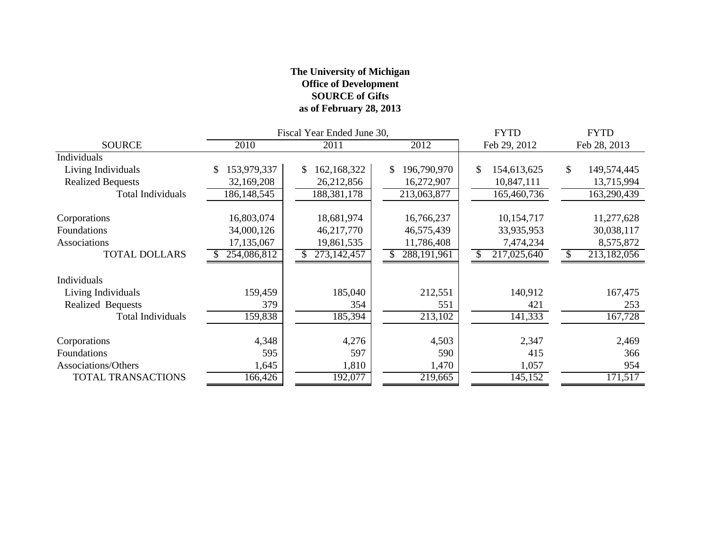## **The University of Michigan Office of Development SOURCE of Gifts as of February 28, 2013**

|                          |                   | Fiscal Year Ended June 30, |                   | <b>FYTD</b>       | <b>FYTD</b>       |
|--------------------------|-------------------|----------------------------|-------------------|-------------------|-------------------|
| <b>SOURCE</b>            | 2010              | 2011                       | 2012              | Feb 29, 2012      | Feb 28, 2013      |
| Individuals              |                   |                            |                   |                   |                   |
| Living Individuals       | 153,979,337<br>\$ | 162,168,322<br>\$          | 196,790,970<br>\$ | \$<br>154,613,625 | \$<br>149,574,445 |
| <b>Realized Bequests</b> | 32,169,208        | 26,212,856                 | 16,272,907        | 10,847,111        | 13,715,994        |
| <b>Total Individuals</b> | 186, 148, 545     | 188,381,178                | 213,063,877       | 165,460,736       | 163,290,439       |
| Corporations             | 16,803,074        | 18,681,974                 | 16,766,237        | 10,154,717        | 11,277,628        |
| Foundations              | 34,000,126        | 46,217,770                 | 46,575,439        | 33,935,953        | 30,038,117        |
| Associations             | 17,135,067        | 19,861,535                 | 11,786,408        | 7,474,234         | 8,575,872         |
| <b>TOTAL DOLLARS</b>     | 254,086,812       | 273,142,457                | 288, 191, 961     | 217,025,640       | 213,182,056       |
| Individuals              |                   |                            |                   |                   |                   |
| Living Individuals       | 159,459           | 185,040                    | 212,551           | 140,912           | 167,475           |
| Realized Bequests        | 379               | 354                        | 551               | 421               | 253               |
| <b>Total Individuals</b> | 159,838           | 185,394                    | 213,102           | 141,333           | 167,728           |
| Corporations             | 4,348             | 4,276                      | 4,503             | 2,347             | 2,469             |
| Foundations              | 595               | 597                        | 590               | 415               | 366               |
| Associations/Others      | 1,645             | 1,810                      | 1,470             | 1,057             | 954               |
| TOTAL TRANSACTIONS       | 166,426           | 192,077                    | 219,665           | 145,152           | 171,517           |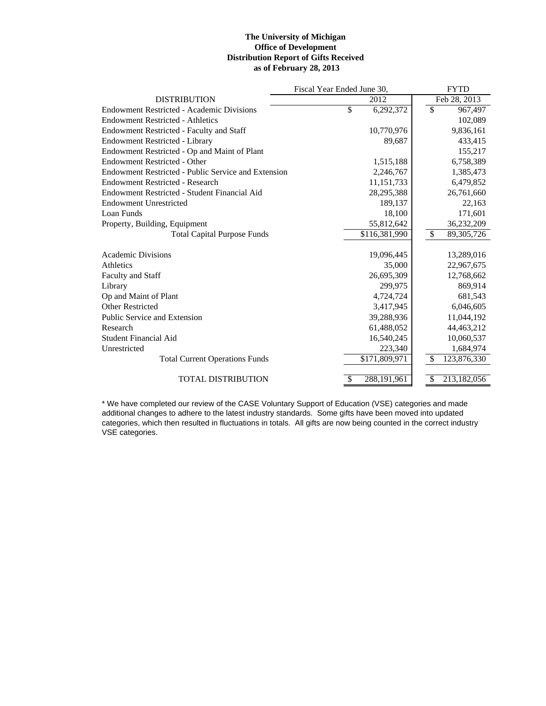#### **The University of Michigan Office of Development Distribution Report of Gifts Received as of February 28, 2013**

|                                                     | Fiscal Year Ended June 30, | <b>FYTD</b>                              |
|-----------------------------------------------------|----------------------------|------------------------------------------|
| <b>DISTRIBUTION</b>                                 | 2012                       | Feb 28, 2013                             |
| Endowment Restricted - Academic Divisions           | \$<br>6,292,372            | $\overline{\mathcal{S}}$<br>967,497      |
| <b>Endowment Restricted - Athletics</b>             |                            | 102,089                                  |
| <b>Endowment Restricted - Faculty and Staff</b>     | 10,770,976                 | 9,836,161                                |
| <b>Endowment Restricted - Library</b>               | 89,687                     | 433,415                                  |
| Endowment Restricted - Op and Maint of Plant        |                            | 155,217                                  |
| <b>Endowment Restricted - Other</b>                 | 1,515,188                  | 6,758,389                                |
| Endowment Restricted - Public Service and Extension | 2,246,767                  | 1,385,473                                |
| <b>Endowment Restricted - Research</b>              | 11, 151, 733               | 6,479,852                                |
| Endowment Restricted - Student Financial Aid        | 28, 295, 388               | 26,761,660                               |
| <b>Endowment Unrestricted</b>                       | 189,137                    | 22,163                                   |
| Loan Funds                                          | 18,100                     | 171,601                                  |
| Property, Building, Equipment                       | 55,812,642                 | 36,232,209                               |
| <b>Total Capital Purpose Funds</b>                  | \$116,381,990              | $\overline{\mathcal{S}}$<br>89, 305, 726 |
|                                                     |                            |                                          |
| <b>Academic Divisions</b>                           | 19,096,445                 | 13,289,016                               |
| Athletics                                           | 35,000                     | 22,967,675                               |
| <b>Faculty and Staff</b>                            | 26,695,309                 | 12,768,662                               |
| Library                                             | 299,975                    | 869,914                                  |
| Op and Maint of Plant                               | 4,724,724                  | 681,543                                  |
| <b>Other Restricted</b>                             | 3,417,945                  | 6,046,605                                |
| Public Service and Extension                        | 39,288,936                 | 11,044,192                               |
| Research                                            | 61,488,052                 | 44, 463, 212                             |
| Student Financial Aid                               | 16,540,245                 | 10,060,537                               |
| Unrestricted                                        | 223,340                    | 1,684,974                                |
| <b>Total Current Operations Funds</b>               | \$171,809,971              | 123,876,330<br>\$.                       |
|                                                     |                            |                                          |
| <b>TOTAL DISTRIBUTION</b>                           | 288,191,961                | 213,182,056<br>\$                        |

\* We have completed our review of the CASE Voluntary Support of Education (VSE) categories and made additional changes to adhere to the latest industry standards. Some gifts have been moved into updated categories, which then resulted in fluctuations in totals. All gifts are now being counted in the correct industry VSE categories.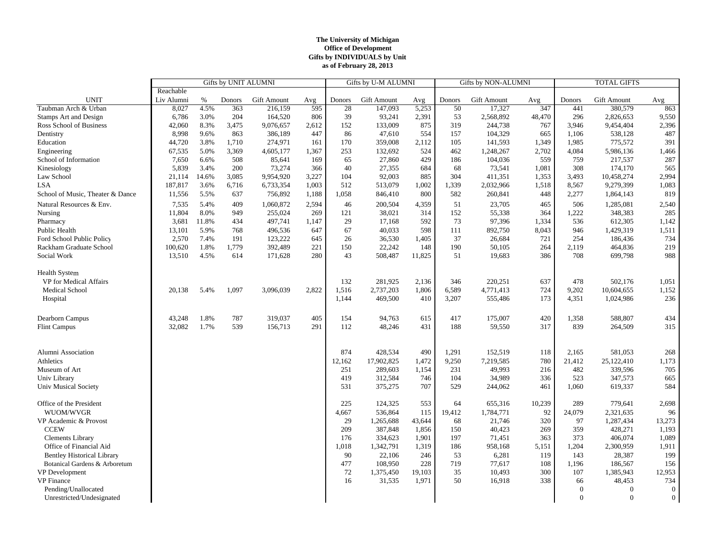#### **The University of Michigan Office of Development Gifts by INDIVIDUALS by Unit as of February 28, 2013**

|                                   | <b>Gifts by UNIT ALUMNI</b> |       |        |             | Gifts by U-M ALUMNI |        |             | <b>Gifts by NON-ALUMNI</b> |        |                    | <b>TOTAL GIFTS</b> |          |                    |                |
|-----------------------------------|-----------------------------|-------|--------|-------------|---------------------|--------|-------------|----------------------------|--------|--------------------|--------------------|----------|--------------------|----------------|
|                                   | Reachable                   |       |        |             |                     |        |             |                            |        |                    |                    |          |                    |                |
| <b>UNIT</b>                       | Liv Alumni                  | $\%$  | Donors | Gift Amount | Avg                 | Donors | Gift Amount | Avg                        | Donors | <b>Gift Amount</b> | Avg                | Donors   | <b>Gift Amount</b> | Avg            |
| Taubman Arch & Urban              | 8,027                       | 4.5%  | 363    | 216,159     | 595                 | 28     | 147,093     | 5,253                      | 50     | 17,327             | 347                | 441      | 380,579            | 863            |
| <b>Stamps Art and Design</b>      | 6,786                       | 3.0%  | 204    | 164,520     | 806                 | 39     | 93,241      | 2,391                      | 53     | 2,568,892          | 48,470             | 296      | 2,826,653          | 9,550          |
| Ross School of Business           | 42,060                      | 8.3%  | 3,475  | 9,076,657   | 2,612               | 152    | 133,009     | 875                        | 319    | 244,738            | 767                | 3,946    | 9,454,404          | 2,396          |
| Dentistry                         | 8,998                       | 9.6%  | 863    | 386,189     | 447                 | 86     | 47,610      | 554                        | 157    | 104,329            | 665                | 1,106    | 538,128            | 487            |
| Education                         | 44,720                      | 3.8%  | 1,710  | 274,971     | 161                 | 170    | 359,008     | 2,112                      | 105    | 141,593            | 1,349              | 1,985    | 775,572            | 391            |
| Engineering                       | 67,535                      | 5.0%  | 3,369  | 4,605,177   | 1,367               | 253    | 132,692     | 524                        | 462    | 1,248,267          | 2,702              | 4,084    | 5,986,136          | 1,466          |
| School of Information             | 7,650                       | 6.6%  | 508    | 85,641      | 169                 | 65     | 27,860      | 429                        | 186    | 104,036            | 559                | 759      | 217,537            | 287            |
| Kinesiology                       | 5,839                       | 3.4%  | 200    | 73,274      | 366                 | 40     | 27,355      | 684                        | 68     | 73,541             | 1,081              | 308      | 174,170            | 565            |
| Law School                        | 21,114                      | 14.6% | 3,085  | 9,954,920   | 3,227               | 104    | 92,003      | 885                        | 304    | 411,351            | 1,353              | 3,493    | 10,458,274         | 2,994          |
| <b>LSA</b>                        | 187,817                     | 3.6%  | 6,716  | 6,733,354   | 1,003               | 512    | 513,079     | 1,002                      | 1,339  | 2,032,966          | 1,518              | 8,567    | 9,279,399          | 1,083          |
| School of Music, Theater & Dance  | 11,556                      | 5.5%  | 637    | 756,892     | 1,188               | 1,058  | 846,410     | 800                        | 582    | 260,841            | 448                | 2,277    | 1,864,143          | 819            |
| Natural Resources & Env.          | 7,535                       | 5.4%  | 409    | 1,060,872   | 2,594               | 46     | 200,504     | 4,359                      | 51     | 23,705             | 465                | 506      | 1,285,081          | 2,540          |
| Nursing                           | 11,804                      | 8.0%  | 949    | 255,024     | 269                 | 121    | 38,021      | 314                        | 152    | 55,338             | 364                | 1,222    | 348,383            | 285            |
| Pharmacy                          | 3,681                       | 11.8% | 434    | 497,741     | 1,147               | 29     | 17,168      | 592                        | 73     | 97,396             | 1,334              | 536      | 612,305            | 1,142          |
| Public Health                     | 13.101                      | 5.9%  | 768    | 496.536     | 647                 | 67     | 40,033      | 598                        | 111    | 892,750            | 8,043              | 946      | 1,429,319          | 1,511          |
| Ford School Public Policy         | 2,570                       | 7.4%  | 191    | 123,222     | 645                 | 26     | 36,530      | 1,405                      | 37     | 26,684             | 721                | 254      | 186,436            | 734            |
| Rackham Graduate School           | 100,620                     | 1.8%  | 1,779  | 392,489     | 221                 | 150    | 22,242      | 148                        | 190    | 50,105             | 264                | 2,119    | 464,836            | 219            |
| Social Work                       | 13,510                      | 4.5%  | 614    | 171,628     | 280                 | 43     | 508,487     | 11,825                     | 51     | 19,683             | 386                | 708      | 699,798            | 988            |
|                                   |                             |       |        |             |                     |        |             |                            |        |                    |                    |          |                    |                |
| <b>Health System</b>              |                             |       |        |             |                     |        |             |                            |        |                    |                    |          |                    |                |
| VP for Medical Affairs            |                             |       |        |             |                     | 132    | 281,925     | 2,136                      | 346    | 220,251            | 637                | 478      | 502,176            | 1,051          |
| Medical School                    | 20,138                      | 5.4%  | 1,097  | 3,096,039   | 2,822               | 1,516  | 2,737,203   | 1,806                      | 6,589  | 4,771,413          | 724                | 9,202    | 10,604,655         | 1,152          |
| Hospital                          |                             |       |        |             |                     | 1,144  | 469,500     | 410                        | 3,207  | 555,486            | 173                | 4,351    | 1,024,986          | 236            |
|                                   |                             |       |        |             |                     |        |             |                            |        |                    |                    |          |                    |                |
| Dearborn Campus                   | 43,248                      | 1.8%  | 787    | 319,037     | 405                 | 154    | 94,763      | 615                        | 417    | 175,007            | 420                | 1,358    | 588,807            | 434            |
| <b>Flint Campus</b>               | 32,082                      | 1.7%  | 539    | 156,713     | 291                 | 112    | 48,246      | 431                        | 188    | 59,550             | 317                | 839      | 264,509            | 315            |
|                                   |                             |       |        |             |                     |        |             |                            |        |                    |                    |          |                    |                |
|                                   |                             |       |        |             |                     |        |             |                            |        |                    |                    |          |                    |                |
| Alumni Association                |                             |       |        |             |                     | 874    | 428,534     | 490                        | 1,291  | 152,519            | 118                | 2,165    | 581,053            | 268            |
| Athletics                         |                             |       |        |             |                     | 12,162 | 17,902,825  | 1,472                      | 9,250  | 7,219,585          | 780                | 21,412   | 25,122,410         | 1,173          |
| Museum of Art                     |                             |       |        |             |                     | 251    | 289,603     | 1,154                      | 231    | 49,993             | 216                | 482      | 339,596            | 705            |
| Univ Library                      |                             |       |        |             |                     | 419    | 312,584     | 746                        | 104    | 34,989             | 336                | 523      | 347,573            | 665            |
| <b>Univ Musical Society</b>       |                             |       |        |             |                     | 531    | 375,275     | 707                        | 529    | 244,062            | 461                | 1,060    | 619,337            | 584            |
| Office of the President           |                             |       |        |             |                     | 225    | 124,325     | 553                        | 64     | 655,316            | 10,239             | 289      | 779,641            | 2,698          |
| WUOM/WVGR                         |                             |       |        |             |                     | 4,667  | 536,864     | 115                        | 19,412 | 1,784,771          | 92                 | 24,079   | 2,321,635          | 96             |
| VP Academic & Provost             |                             |       |        |             |                     | 29     | 1,265,688   | 43,644                     | 68     | 21,746             | 320                | 97       | 1,287,434          | 13,273         |
| <b>CCEW</b>                       |                             |       |        |             |                     | 209    | 387,848     | 1,856                      | 150    | 40,423             | 269                | 359      | 428,271            | 1,193          |
| <b>Clements Library</b>           |                             |       |        |             |                     | 176    | 334,623     | 1,901                      | 197    | 71,451             | 363                | 373      | 406,074            | 1,089          |
| Office of Financial Aid           |                             |       |        |             |                     | 1,018  | 1,342,791   | 1,319                      | 186    | 958,168            | 5,151              | 1,204    | 2,300,959          | 1,911          |
| <b>Bentley Historical Library</b> |                             |       |        |             |                     | 90     | 22,106      | 246                        | 53     | 6,281              | 119                | 143      | 28,387             | 199            |
| Botanical Gardens & Arboretum     |                             |       |        |             |                     | 477    | 108,950     | 228                        | 719    | 77,617             | 108                | 1,196    | 186,567            | 156            |
| <b>VP</b> Development             |                             |       |        |             |                     | 72     | 1,375,450   | 19,103                     | 35     | 10,493             | 300                | 107      | 1,385,943          | 12,953         |
| <b>VP</b> Finance                 |                             |       |        |             |                     | 16     | 31,535      | 1,971                      | 50     | 16,918             | 338                | 66       | 48,453             | 734            |
| Pending/Unallocated               |                             |       |        |             |                     |        |             |                            |        |                    |                    | $\theta$ | $\theta$           | $\overline{0}$ |
| Unrestricted/Undesignated         |                             |       |        |             |                     |        |             |                            |        |                    |                    | $\theta$ | $\theta$           | $\overline{0}$ |
|                                   |                             |       |        |             |                     |        |             |                            |        |                    |                    |          |                    |                |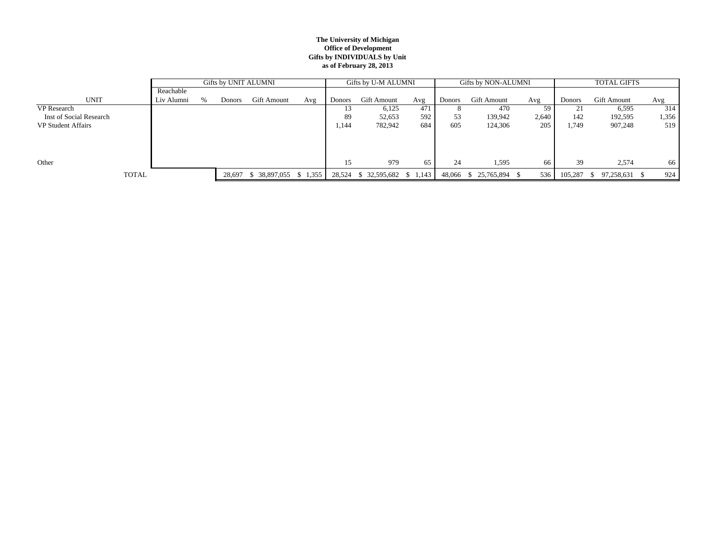#### **The University of Michigan Office of Development Gifts by INDIVIDUALS by Unit as of February 28, 2013**

|                         |            |      | Gifts by UNIT ALUMNI |                               |     |               | Gifts by U-M ALUMNI           |     | Gifts by NON-ALUMNI |                    |       | <b>TOTAL GIFTS</b> |                    |       |
|-------------------------|------------|------|----------------------|-------------------------------|-----|---------------|-------------------------------|-----|---------------------|--------------------|-------|--------------------|--------------------|-------|
|                         | Reachable  |      |                      |                               |     |               |                               |     |                     |                    |       |                    |                    |       |
| <b>UNIT</b>             | Liv Alumni | $\%$ | <b>Donors</b>        | Gift Amount                   | Avg | <b>Donors</b> | <b>Gift Amount</b>            | Avg | <b>Donors</b>       | <b>Gift Amount</b> | Avg   | <b>Donors</b>      | <b>Gift Amount</b> | Avg   |
| VP Research             |            |      |                      |                               |     | 13            | 6,125                         | 471 |                     | 470                | 59    | 21                 | 6,595              | 314   |
| Inst of Social Research |            |      |                      |                               |     | 89            | 52,653                        | 592 | 53                  | 139,942            | 2,640 | 142                | 192,595            | 1,356 |
| VP Student Affairs      |            |      |                      |                               |     | ,144          | 782,942                       | 684 | 605                 | 124,306            | 205   | 1,749              | 907,248            | 519   |
|                         |            |      |                      |                               |     |               |                               |     |                     |                    |       |                    |                    |       |
|                         |            |      |                      |                               |     |               |                               |     |                     |                    |       |                    |                    |       |
|                         |            |      |                      |                               |     |               |                               |     |                     |                    |       |                    |                    |       |
| Other                   |            |      |                      |                               |     | 15            | 979                           | 65  | 24                  | 1,595              | 66    | 39                 | 2,574              | 66    |
| <b>TOTAL</b>            |            |      |                      | 28,697 \$ 38,897,055 \$ 1,355 |     |               | 28,524 \$ 32,595,682 \$ 1,143 |     | 48,066 \$           | 25,765,894 \$      | 536   | 105,287            | 97,258,631         | 924   |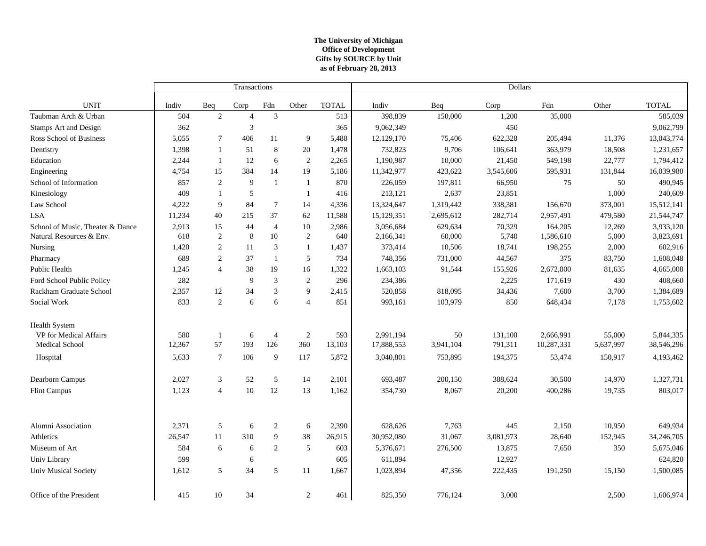#### **The University of Michigan Office of Development as of February 28, 2013 Gifts by SOURCE by Unit**

|                                  |        |                | Transactions   |                |                |              | Dollars    |           |           |            |           |              |
|----------------------------------|--------|----------------|----------------|----------------|----------------|--------------|------------|-----------|-----------|------------|-----------|--------------|
| <b>UNIT</b>                      | Indiv  | Beq            | Corp           | Fdn            | Other          | <b>TOTAL</b> | Indiv      | Beq       | Corp      | Fdn        | Other     | <b>TOTAL</b> |
| Taubman Arch & Urban             | 504    | $\mathbf{2}$   | $\overline{4}$ | 3              |                | 513          | 398,839    | 150,000   | 1,200     | 35,000     |           | 585,039      |
| <b>Stamps Art and Design</b>     | 362    |                | 3              |                |                | 365          | 9,062,349  |           | 450       |            |           | 9,062,799    |
| Ross School of Business          | 5,055  | $\tau$         | 406            | 11             | 9              | 5,488        | 12,129,170 | 75,406    | 622,328   | 205,494    | 11,376    | 13,043,774   |
| Dentistry                        | 1,398  | -1             | 51             | $\,8\,$        | $20\,$         | 1,478        | 732,823    | 9,706     | 106,641   | 363,979    | 18,508    | 1,231,657    |
| Education                        | 2,244  | 1              | 12             | $\sqrt{6}$     | 2              | 2,265        | 1,190,987  | 10,000    | 21,450    | 549,198    | 22,777    | 1,794,412    |
| Engineering                      | 4,754  | 15             | 384            | 14             | 19             | 5,186        | 11,342,977 | 423,622   | 3,545,606 | 595,931    | 131,844   | 16,039,980   |
| School of Information            | 857    | $\mathbf{2}$   | 9              | $\mathbf{1}$   | 1              | 870          | 226,059    | 197,811   | 66,950    | 75         | 50        | 490,945      |
| Kinesiology                      | 409    | $\mathbf{1}$   | 5              |                | $\mathbf{1}$   | 416          | 213,121    | 2,637     | 23,851    |            | 1,000     | 240,609      |
| Law School                       | 4,222  | 9              | 84             | $\tau$         | 14             | 4,336        | 13,324,647 | 1,319,442 | 338,381   | 156,670    | 373,001   | 15,512,141   |
| <b>LSA</b>                       | 11,234 | 40             | 215            | 37             | 62             | 11,588       | 15,129,351 | 2,695,612 | 282,714   | 2,957,491  | 479,580   | 21,544,747   |
| School of Music, Theater & Dance | 2,913  | 15             | 44             | $\overline{4}$ | 10             | 2,986        | 3,056,684  | 629,634   | 70,329    | 164,205    | 12,269    | 3,933,120    |
| Natural Resources & Env.         | 618    | 2              | 8              | 10             | 2              | 640          | 2,166,341  | 60,000    | 5,740     | 1,586,610  | 5,000     | 3,823,691    |
| Nursing                          | 1,420  | 2              | 11             | 3              | -1             | 1,437        | 373,414    | 10,506    | 18,741    | 198,255    | 2,000     | 602,916      |
| Pharmacy                         | 689    | $\overline{c}$ | 37             | $\mathbf{1}$   | 5              | 734          | 748,356    | 731,000   | 44,567    | 375        | 83,750    | 1,608,048    |
| Public Health                    | 1.245  | $\overline{4}$ | 38             | 19             | 16             | 1,322        | 1,663,103  | 91,544    | 155,926   | 2,672,800  | 81,635    | 4,665,008    |
| Ford School Public Policy        | 282    |                | 9              | $\mathfrak{Z}$ | $\mathbf{2}$   | 296          | 234,386    |           | 2,225     | 171,619    | 430       | 408,660      |
| Rackham Graduate School          | 2,357  | 12             | 34             | $\mathfrak{Z}$ | 9              | 2,415        | 520,858    | 818,095   | 34,436    | 7,600      | 3,700     | 1,384,689    |
| Social Work                      | 833    | 2              | 6              | $\sqrt{6}$     | $\overline{4}$ | 851          | 993,161    | 103,979   | 850       | 648,434    | 7,178     | 1,753,602    |
| Health System                    |        |                |                |                |                |              |            |           |           |            |           |              |
| VP for Medical Affairs           | 580    | $\mathbf{1}$   | 6              | $\overline{4}$ | 2              | 593          | 2,991,194  | 50        | 131,100   | 2,666,991  | 55,000    | 5,844,335    |
| Medical School                   | 12,367 | 57             | 193            | 126            | 360            | 13,103       | 17,888,553 | 3,941,104 | 791,311   | 10,287,331 | 5,637,997 | 38,546,296   |
| Hospital                         | 5,633  | $\overline{7}$ | 106            | 9              | 117            | 5,872        | 3,040,801  | 753,895   | 194,375   | 53,474     | 150,917   | 4,193,462    |
| Dearborn Campus                  | 2,027  | 3              | 52             | 5              | 14             | 2,101        | 693,487    | 200,150   | 388,624   | 30,500     | 14,970    | 1,327,731    |
| <b>Flint Campus</b>              | 1,123  | 4              | 10             | 12             | 13             | 1,162        | 354,730    | 8,067     | 20,200    | 400,286    | 19,735    | 803,017      |
| Alumni Association               | 2,371  | 5              | 6              | 2              | 6              | 2,390        | 628,626    | 7,763     | 445       | 2,150      | 10,950    | 649,934      |
| Athletics                        | 26,547 | 11             | 310            | 9              | 38             | 26,915       | 30,952,080 | 31,067    | 3,081,973 | 28,640     | 152,945   | 34,246,705   |
| Museum of Art                    | 584    | 6              | 6              | 2              | 5              | 603          | 5,376,671  | 276,500   | 13,875    | 7,650      | 350       | 5,675,046    |
| Univ Library                     | 599    |                | 6              |                |                | 605          | 611,894    |           | 12,927    |            |           | 624,820      |
| <b>Univ Musical Society</b>      | 1,612  | 5              | 34             | 5              | 11             | 1,667        | 1,023,894  | 47,356    | 222,435   | 191,250    | 15,150    | 1,500,085    |
| Office of the President          | 415    | 10             | 34             |                | 2              | 461          | 825,350    | 776,124   | 3,000     |            | 2,500     | 1,606,974    |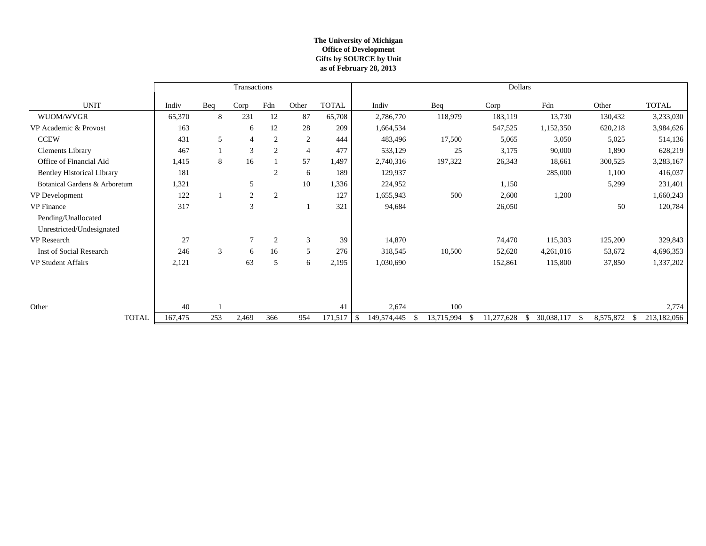#### **The University of Michigan Office of Development as of February 28, 2013 Gifts by SOURCE by Unit**

|                                   |         |     | Transactions |                |                |               |             |            |                  | <b>Dollars</b>    |                 |                   |
|-----------------------------------|---------|-----|--------------|----------------|----------------|---------------|-------------|------------|------------------|-------------------|-----------------|-------------------|
| <b>UNIT</b>                       | Indiv   | Beq | Corp         | Fdn            | Other          | <b>TOTAL</b>  | Indiv       | Beq        | Corp             | Fdn               | Other           | <b>TOTAL</b>      |
| WUOM/WVGR                         | 65,370  | 8   | 231          | 12             | 87             | 65,708        | 2,786,770   | 118,979    | 183,119          | 13,730            | 130,432         | 3,233,030         |
| VP Academic & Provost             | 163     |     | 6            | 12             | 28             | 209           | 1,664,534   |            | 547,525          | 1,152,350         | 620,218         | 3,984,626         |
| <b>CCEW</b>                       | 431     | 5   | 4            | 2              | 2              | 444           | 483,496     | 17,500     | 5,065            | 3,050             | 5,025           | 514,136           |
| <b>Clements Library</b>           | 467     |     | 3            | 2              | $\overline{4}$ | 477           | 533,129     | 25         | 3,175            | 90,000            | 1,890           | 628,219           |
| Office of Financial Aid           | 1,415   | 8   | 16           |                | 57             | 1,497         | 2,740,316   | 197,322    | 26,343           | 18,661            | 300,525         | 3,283,167         |
| <b>Bentley Historical Library</b> | 181     |     |              | 2              | 6              | 189           | 129,937     |            |                  | 285,000           | 1,100           | 416,037           |
| Botanical Gardens & Arboretum     | 1,321   |     | 5            |                | 10             | 1,336         | 224,952     |            | 1,150            |                   | 5,299           | 231,401           |
| VP Development                    | 122     |     | 2            | 2              |                | 127           | 1,655,943   | 500        | 2,600            | 1,200             |                 | 1,660,243         |
| <b>VP</b> Finance                 | 317     |     | 3            |                |                | 321           | 94,684      |            | 26,050           |                   | 50              | 120,784           |
| Pending/Unallocated               |         |     |              |                |                |               |             |            |                  |                   |                 |                   |
| Unrestricted/Undesignated         |         |     |              |                |                |               |             |            |                  |                   |                 |                   |
| VP Research                       | 27      |     | $\tau$       | $\overline{c}$ | 3              | 39            | 14,870      |            | 74,470           | 115,303           | 125,200         | 329,843           |
| Inst of Social Research           | 246     | 3   | 6            | 16             | 5              | 276           | 318,545     | 10,500     | 52,620           | 4,261,016         | 53,672          | 4,696,353         |
| VP Student Affairs                | 2,121   |     | 63           | 5              | 6              | 2,195         | 1,030,690   |            | 152,861          | 115,800           | 37,850          | 1,337,202         |
|                                   |         |     |              |                |                |               |             |            |                  |                   |                 |                   |
|                                   |         |     |              |                |                |               |             |            |                  |                   |                 |                   |
|                                   |         |     |              |                |                |               |             |            |                  |                   |                 |                   |
| Other                             | 40      |     |              |                |                | 41            | 2,674       | 100        |                  |                   |                 | 2,774             |
| <b>TOTAL</b>                      | 167,475 | 253 | 2,469        | 366            | 954            | $171,517$ \\$ | 149,574,445 | 13,715,994 | 11,277,628<br>\$ | 30,038,117<br>-\$ | 8,575,872<br>-S | 213,182,056<br>\$ |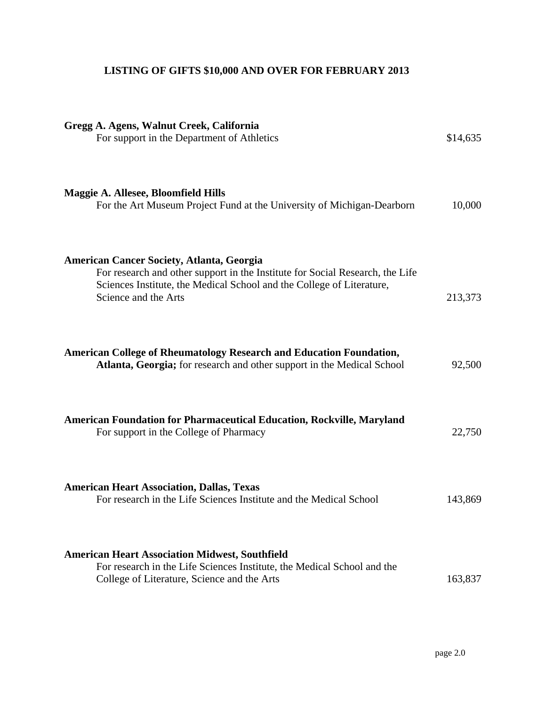# **LISTING OF GIFTS \$10,000 AND OVER FOR FEBRUARY 2013**

| Gregg A. Agens, Walnut Creek, California<br>For support in the Department of Athletics                                                                                                                                             | \$14,635 |
|------------------------------------------------------------------------------------------------------------------------------------------------------------------------------------------------------------------------------------|----------|
| <b>Maggie A. Allesee, Bloomfield Hills</b><br>For the Art Museum Project Fund at the University of Michigan-Dearborn                                                                                                               | 10,000   |
| <b>American Cancer Society, Atlanta, Georgia</b><br>For research and other support in the Institute for Social Research, the Life<br>Sciences Institute, the Medical School and the College of Literature,<br>Science and the Arts | 213,373  |
| <b>American College of Rheumatology Research and Education Foundation,</b><br>Atlanta, Georgia; for research and other support in the Medical School                                                                               | 92,500   |
| <b>American Foundation for Pharmaceutical Education, Rockville, Maryland</b><br>For support in the College of Pharmacy                                                                                                             | 22,750   |
| <b>American Heart Association, Dallas, Texas</b><br>For research in the Life Sciences Institute and the Medical School                                                                                                             | 143,869  |
| <b>American Heart Association Midwest, Southfield</b><br>For research in the Life Sciences Institute, the Medical School and the<br>College of Literature, Science and the Arts                                                    | 163,837  |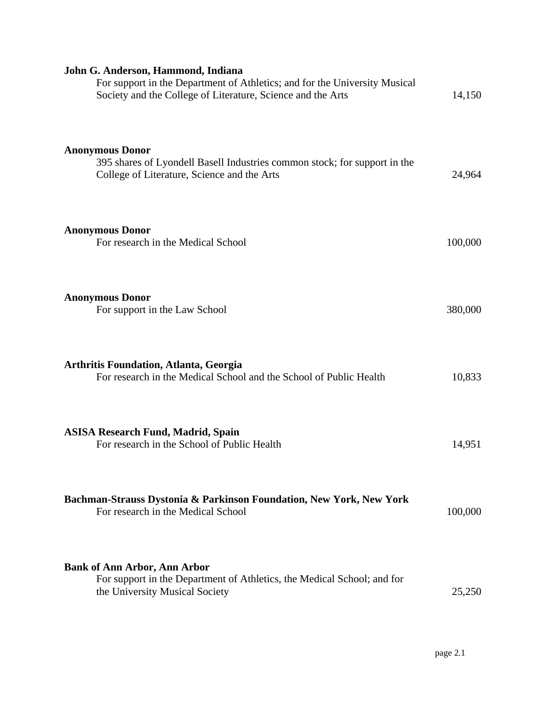| John G. Anderson, Hammond, Indiana                                                                                                                 |         |
|----------------------------------------------------------------------------------------------------------------------------------------------------|---------|
| For support in the Department of Athletics; and for the University Musical<br>Society and the College of Literature, Science and the Arts          | 14,150  |
| <b>Anonymous Donor</b><br>395 shares of Lyondell Basell Industries common stock; for support in the<br>College of Literature, Science and the Arts | 24,964  |
| <b>Anonymous Donor</b><br>For research in the Medical School                                                                                       | 100,000 |
| <b>Anonymous Donor</b><br>For support in the Law School                                                                                            | 380,000 |
| <b>Arthritis Foundation, Atlanta, Georgia</b><br>For research in the Medical School and the School of Public Health                                | 10,833  |
| <b>ASISA Research Fund, Madrid, Spain</b><br>For research in the School of Public Health                                                           | 14,951  |
| Bachman-Strauss Dystonia & Parkinson Foundation, New York, New York<br>For research in the Medical School                                          | 100,000 |
| <b>Bank of Ann Arbor, Ann Arbor</b><br>For support in the Department of Athletics, the Medical School; and for<br>the University Musical Society   | 25,250  |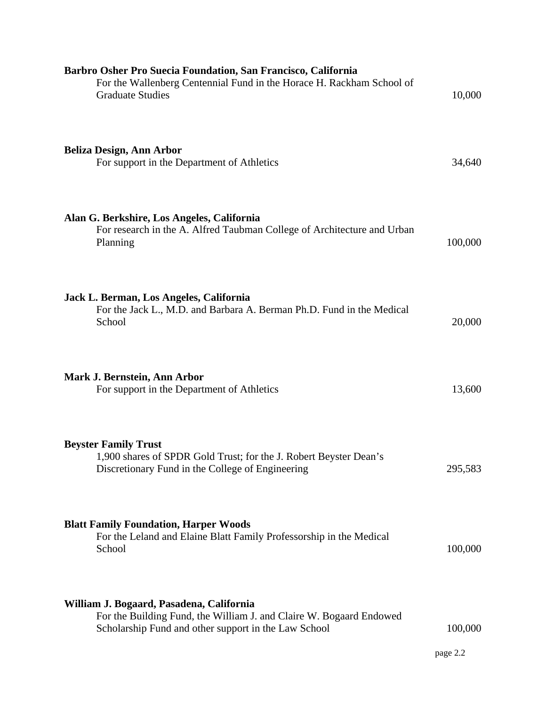| Barbro Osher Pro Suecia Foundation, San Francisco, California<br>For the Wallenberg Centennial Fund in the Horace H. Rackham School of<br><b>Graduate Studies</b>       | 10,000   |
|-------------------------------------------------------------------------------------------------------------------------------------------------------------------------|----------|
| <b>Beliza Design, Ann Arbor</b><br>For support in the Department of Athletics                                                                                           | 34,640   |
| Alan G. Berkshire, Los Angeles, California<br>For research in the A. Alfred Taubman College of Architecture and Urban<br>Planning                                       | 100,000  |
| Jack L. Berman, Los Angeles, California<br>For the Jack L., M.D. and Barbara A. Berman Ph.D. Fund in the Medical<br>School                                              | 20,000   |
| Mark J. Bernstein, Ann Arbor<br>For support in the Department of Athletics                                                                                              | 13,600   |
| <b>Beyster Family Trust</b><br>1,900 shares of SPDR Gold Trust; for the J. Robert Beyster Dean's<br>Discretionary Fund in the College of Engineering                    | 295,583  |
| <b>Blatt Family Foundation, Harper Woods</b><br>For the Leland and Elaine Blatt Family Professorship in the Medical<br>School                                           | 100,000  |
| William J. Bogaard, Pasadena, California<br>For the Building Fund, the William J. and Claire W. Bogaard Endowed<br>Scholarship Fund and other support in the Law School | 100,000  |
|                                                                                                                                                                         | page 2.2 |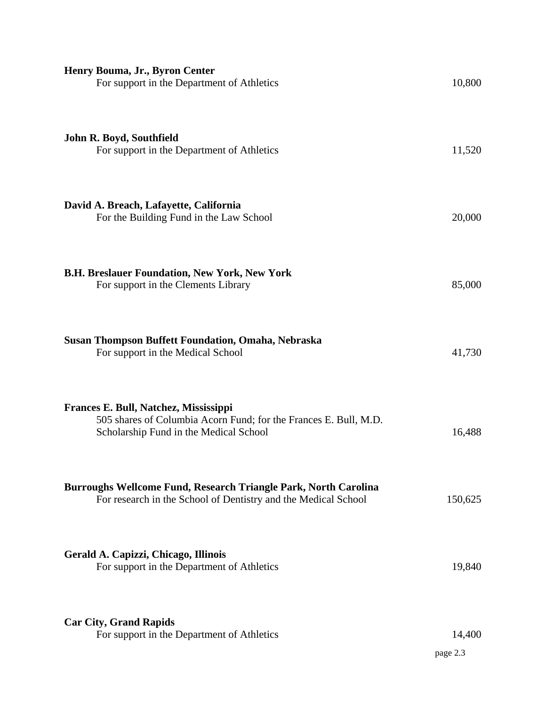| Henry Bouma, Jr., Byron Center<br>For support in the Department of Athletics                                                                        | 10,800             |
|-----------------------------------------------------------------------------------------------------------------------------------------------------|--------------------|
| John R. Boyd, Southfield<br>For support in the Department of Athletics                                                                              | 11,520             |
| David A. Breach, Lafayette, California<br>For the Building Fund in the Law School                                                                   | 20,000             |
| <b>B.H. Breslauer Foundation, New York, New York</b><br>For support in the Clements Library                                                         | 85,000             |
| <b>Susan Thompson Buffett Foundation, Omaha, Nebraska</b><br>For support in the Medical School                                                      | 41,730             |
| Frances E. Bull, Natchez, Mississippi<br>505 shares of Columbia Acorn Fund; for the Frances E. Bull, M.D.<br>Scholarship Fund in the Medical School | 16,488             |
| Burroughs Wellcome Fund, Research Triangle Park, North Carolina<br>For research in the School of Dentistry and the Medical School                   | 150,625            |
| Gerald A. Capizzi, Chicago, Illinois<br>For support in the Department of Athletics                                                                  | 19,840             |
| <b>Car City, Grand Rapids</b><br>For support in the Department of Athletics                                                                         | 14,400<br>page 2.3 |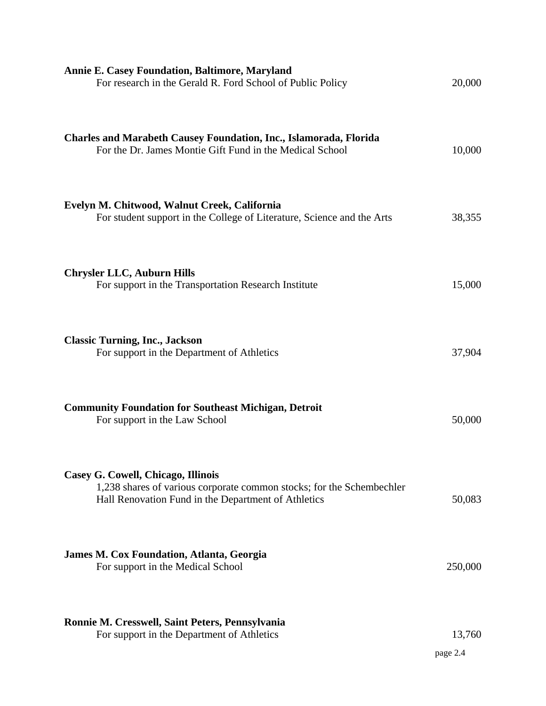| <b>Annie E. Casey Foundation, Baltimore, Maryland</b><br>For research in the Gerald R. Ford School of Public Policy                                                | 20,000             |
|--------------------------------------------------------------------------------------------------------------------------------------------------------------------|--------------------|
| <b>Charles and Marabeth Causey Foundation, Inc., Islamorada, Florida</b><br>For the Dr. James Montie Gift Fund in the Medical School                               | 10,000             |
| Evelyn M. Chitwood, Walnut Creek, California<br>For student support in the College of Literature, Science and the Arts                                             | 38,355             |
| <b>Chrysler LLC, Auburn Hills</b><br>For support in the Transportation Research Institute                                                                          | 15,000             |
| <b>Classic Turning, Inc., Jackson</b><br>For support in the Department of Athletics                                                                                | 37,904             |
| <b>Community Foundation for Southeast Michigan, Detroit</b><br>For support in the Law School                                                                       | 50,000             |
| Casey G. Cowell, Chicago, Illinois<br>1,238 shares of various corporate common stocks; for the Schembechler<br>Hall Renovation Fund in the Department of Athletics | 50,083             |
| James M. Cox Foundation, Atlanta, Georgia<br>For support in the Medical School                                                                                     | 250,000            |
| Ronnie M. Cresswell, Saint Peters, Pennsylvania<br>For support in the Department of Athletics                                                                      | 13,760<br>page 2.4 |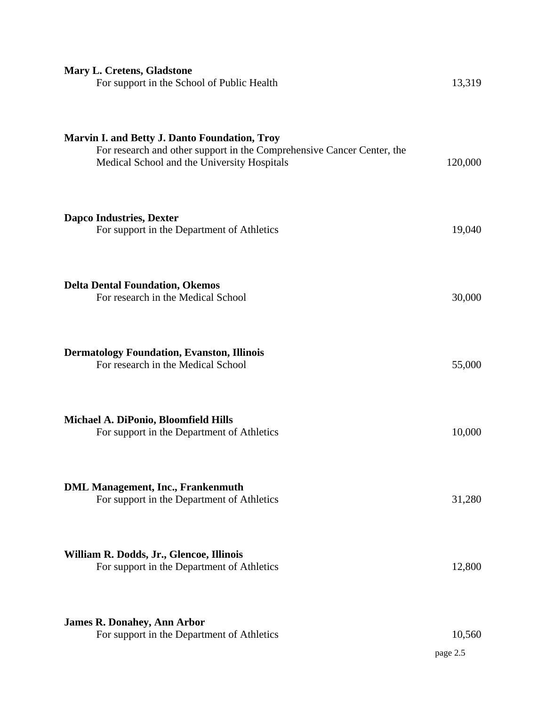| <b>Mary L. Cretens, Gladstone</b><br>For support in the School of Public Health                                                                                               | 13,319             |
|-------------------------------------------------------------------------------------------------------------------------------------------------------------------------------|--------------------|
| <b>Marvin I. and Betty J. Danto Foundation, Troy</b><br>For research and other support in the Comprehensive Cancer Center, the<br>Medical School and the University Hospitals | 120,000            |
| <b>Dapco Industries, Dexter</b><br>For support in the Department of Athletics                                                                                                 | 19,040             |
| <b>Delta Dental Foundation, Okemos</b><br>For research in the Medical School                                                                                                  | 30,000             |
| <b>Dermatology Foundation, Evanston, Illinois</b><br>For research in the Medical School                                                                                       | 55,000             |
| Michael A. DiPonio, Bloomfield Hills<br>For support in the Department of Athletics                                                                                            | 10,000             |
| <b>DML Management, Inc., Frankenmuth</b><br>For support in the Department of Athletics                                                                                        | 31,280             |
| William R. Dodds, Jr., Glencoe, Illinois<br>For support in the Department of Athletics                                                                                        | 12,800             |
| <b>James R. Donahey, Ann Arbor</b><br>For support in the Department of Athletics                                                                                              | 10,560<br>page 2.5 |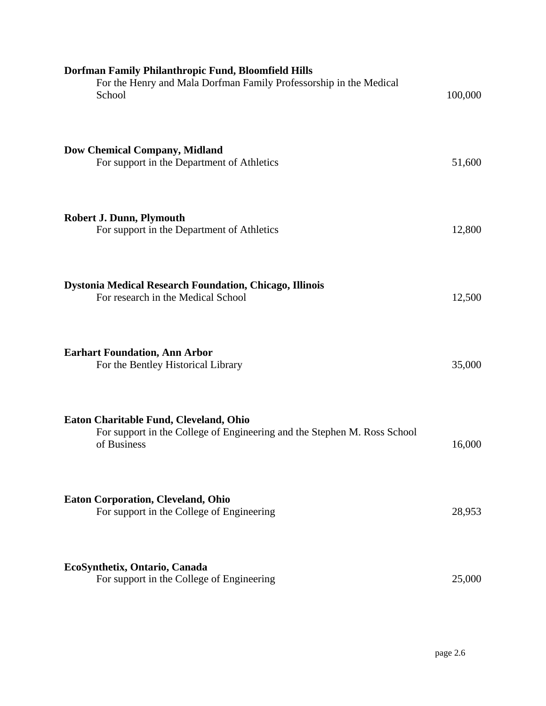| Dorfman Family Philanthropic Fund, Bloomfield Hills<br>For the Henry and Mala Dorfman Family Professorship in the Medical<br>School | 100,000 |
|-------------------------------------------------------------------------------------------------------------------------------------|---------|
| <b>Dow Chemical Company, Midland</b><br>For support in the Department of Athletics                                                  | 51,600  |
| <b>Robert J. Dunn, Plymouth</b><br>For support in the Department of Athletics                                                       | 12,800  |
| <b>Dystonia Medical Research Foundation, Chicago, Illinois</b><br>For research in the Medical School                                | 12,500  |
| <b>Earhart Foundation, Ann Arbor</b><br>For the Bentley Historical Library                                                          | 35,000  |
| Eaton Charitable Fund, Cleveland, Ohio<br>For support in the College of Engineering and the Stephen M. Ross School<br>of Business   | 16,000  |
| <b>Eaton Corporation, Cleveland, Ohio</b><br>For support in the College of Engineering                                              | 28,953  |
| EcoSynthetix, Ontario, Canada<br>For support in the College of Engineering                                                          | 25,000  |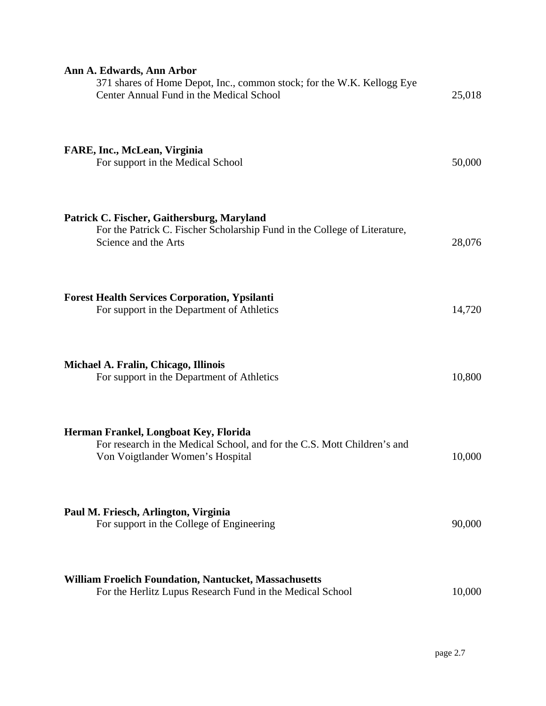| Ann A. Edwards, Ann Arbor<br>371 shares of Home Depot, Inc., common stock; for the W.K. Kellogg Eye<br>Center Annual Fund in the Medical School       | 25,018 |
|-------------------------------------------------------------------------------------------------------------------------------------------------------|--------|
| FARE, Inc., McLean, Virginia<br>For support in the Medical School                                                                                     | 50,000 |
| Patrick C. Fischer, Gaithersburg, Maryland<br>For the Patrick C. Fischer Scholarship Fund in the College of Literature,<br>Science and the Arts       | 28,076 |
| <b>Forest Health Services Corporation, Ypsilanti</b><br>For support in the Department of Athletics                                                    | 14,720 |
| Michael A. Fralin, Chicago, Illinois<br>For support in the Department of Athletics                                                                    | 10,800 |
| Herman Frankel, Longboat Key, Florida<br>For research in the Medical School, and for the C.S. Mott Children's and<br>Von Voigtlander Women's Hospital | 10,000 |
| Paul M. Friesch, Arlington, Virginia<br>For support in the College of Engineering                                                                     | 90,000 |
| <b>William Froelich Foundation, Nantucket, Massachusetts</b><br>For the Herlitz Lupus Research Fund in the Medical School                             | 10,000 |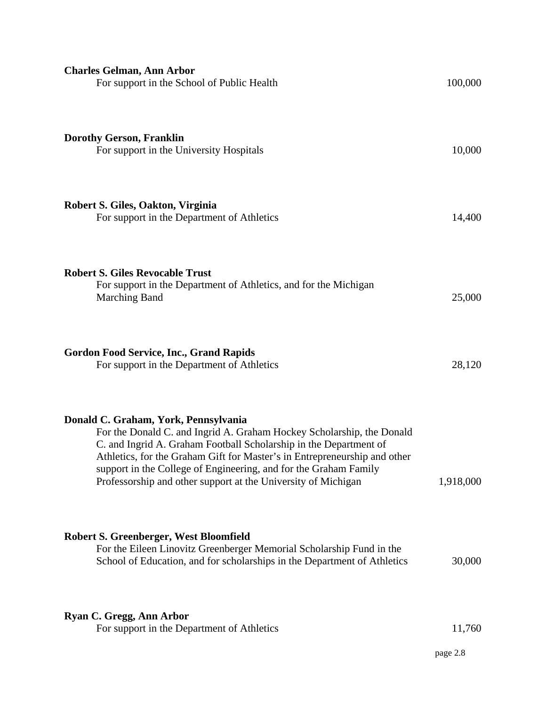| <b>Charles Gelman, Ann Arbor</b><br>For support in the School of Public Health                                                                                                                                                                                                                                                                                                                       | 100,000   |
|------------------------------------------------------------------------------------------------------------------------------------------------------------------------------------------------------------------------------------------------------------------------------------------------------------------------------------------------------------------------------------------------------|-----------|
| <b>Dorothy Gerson, Franklin</b><br>For support in the University Hospitals                                                                                                                                                                                                                                                                                                                           | 10,000    |
| Robert S. Giles, Oakton, Virginia<br>For support in the Department of Athletics                                                                                                                                                                                                                                                                                                                      | 14,400    |
| <b>Robert S. Giles Revocable Trust</b><br>For support in the Department of Athletics, and for the Michigan<br><b>Marching Band</b>                                                                                                                                                                                                                                                                   | 25,000    |
| <b>Gordon Food Service, Inc., Grand Rapids</b><br>For support in the Department of Athletics                                                                                                                                                                                                                                                                                                         | 28,120    |
| Donald C. Graham, York, Pennsylvania<br>For the Donald C. and Ingrid A. Graham Hockey Scholarship, the Donald<br>C. and Ingrid A. Graham Football Scholarship in the Department of<br>Athletics, for the Graham Gift for Master's in Entrepreneurship and other<br>support in the College of Engineering, and for the Graham Family<br>Professorship and other support at the University of Michigan | 1,918,000 |
| <b>Robert S. Greenberger, West Bloomfield</b><br>For the Eileen Linovitz Greenberger Memorial Scholarship Fund in the<br>School of Education, and for scholarships in the Department of Athletics                                                                                                                                                                                                    | 30,000    |
| Ryan C. Gregg, Ann Arbor<br>For support in the Department of Athletics                                                                                                                                                                                                                                                                                                                               | 11,760    |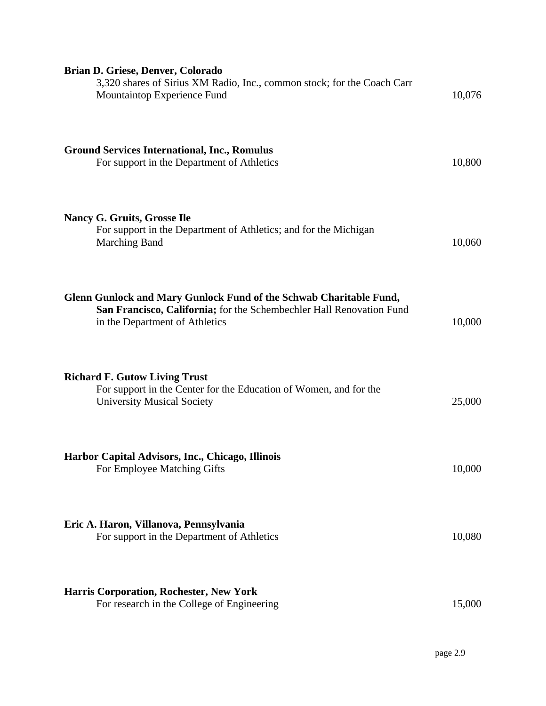| Brian D. Griese, Denver, Colorado<br>3,320 shares of Sirius XM Radio, Inc., common stock; for the Coach Carr<br>Mountaintop Experience Fund                                  | 10,076 |
|------------------------------------------------------------------------------------------------------------------------------------------------------------------------------|--------|
| <b>Ground Services International, Inc., Romulus</b><br>For support in the Department of Athletics                                                                            | 10,800 |
| Nancy G. Gruits, Grosse Ile<br>For support in the Department of Athletics; and for the Michigan<br><b>Marching Band</b>                                                      | 10,060 |
| Glenn Gunlock and Mary Gunlock Fund of the Schwab Charitable Fund,<br>San Francisco, California; for the Schembechler Hall Renovation Fund<br>in the Department of Athletics | 10,000 |
| <b>Richard F. Gutow Living Trust</b><br>For support in the Center for the Education of Women, and for the<br><b>University Musical Society</b>                               | 25,000 |
| Harbor Capital Advisors, Inc., Chicago, Illinois<br>For Employee Matching Gifts                                                                                              | 10,000 |
| Eric A. Haron, Villanova, Pennsylvania<br>For support in the Department of Athletics                                                                                         | 10,080 |
| <b>Harris Corporation, Rochester, New York</b><br>For research in the College of Engineering                                                                                 | 15,000 |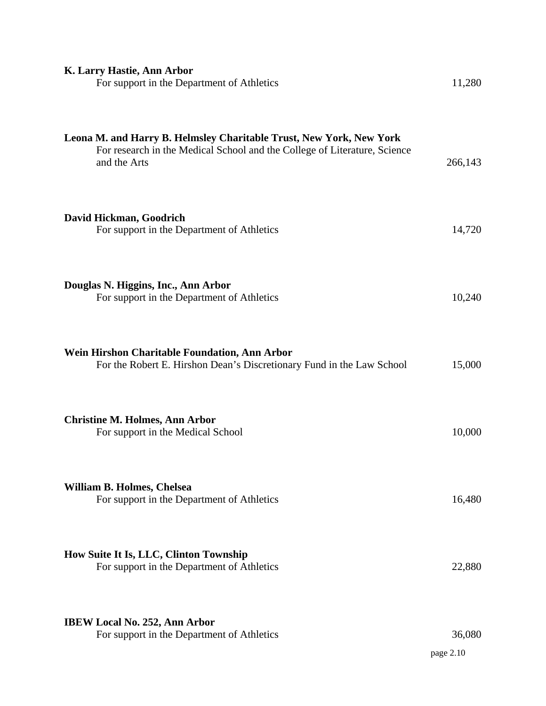| K. Larry Hastie, Ann Arbor<br>For support in the Department of Athletics                                                                                         | 11,280              |
|------------------------------------------------------------------------------------------------------------------------------------------------------------------|---------------------|
| Leona M. and Harry B. Helmsley Charitable Trust, New York, New York<br>For research in the Medical School and the College of Literature, Science<br>and the Arts | 266,143             |
| David Hickman, Goodrich<br>For support in the Department of Athletics                                                                                            | 14,720              |
| Douglas N. Higgins, Inc., Ann Arbor<br>For support in the Department of Athletics                                                                                | 10,240              |
| Wein Hirshon Charitable Foundation, Ann Arbor<br>For the Robert E. Hirshon Dean's Discretionary Fund in the Law School                                           | 15,000              |
| <b>Christine M. Holmes, Ann Arbor</b><br>For support in the Medical School                                                                                       | 10,000              |
| William B. Holmes, Chelsea<br>For support in the Department of Athletics                                                                                         | 16,480              |
| How Suite It Is, LLC, Clinton Township<br>For support in the Department of Athletics                                                                             | 22,880              |
| <b>IBEW Local No. 252, Ann Arbor</b><br>For support in the Department of Athletics                                                                               | 36,080<br>page 2.10 |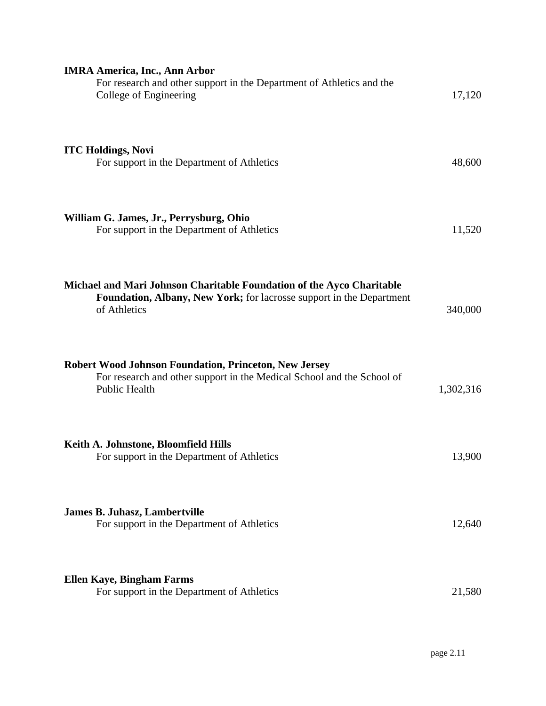| <b>IMRA America, Inc., Ann Arbor</b><br>For research and other support in the Department of Athletics and the<br>College of Engineering                        | 17,120    |
|----------------------------------------------------------------------------------------------------------------------------------------------------------------|-----------|
| <b>ITC Holdings, Novi</b><br>For support in the Department of Athletics                                                                                        | 48,600    |
| William G. James, Jr., Perrysburg, Ohio<br>For support in the Department of Athletics                                                                          | 11,520    |
| Michael and Mari Johnson Charitable Foundation of the Ayco Charitable<br>Foundation, Albany, New York; for lacrosse support in the Department<br>of Athletics  | 340,000   |
| <b>Robert Wood Johnson Foundation, Princeton, New Jersey</b><br>For research and other support in the Medical School and the School of<br><b>Public Health</b> | 1,302,316 |
| Keith A. Johnstone, Bloomfield Hills<br>For support in the Department of Athletics                                                                             | 13,900    |
| <b>James B. Juhasz, Lambertville</b><br>For support in the Department of Athletics                                                                             | 12,640    |
| <b>Ellen Kaye, Bingham Farms</b><br>For support in the Department of Athletics                                                                                 | 21,580    |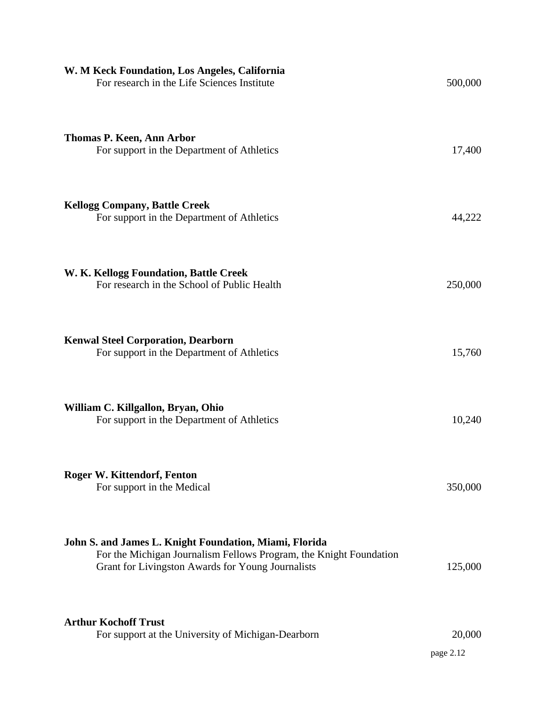| W. M Keck Foundation, Los Angeles, California<br>For research in the Life Sciences Institute                                                                                      | 500,000             |
|-----------------------------------------------------------------------------------------------------------------------------------------------------------------------------------|---------------------|
| <b>Thomas P. Keen, Ann Arbor</b><br>For support in the Department of Athletics                                                                                                    | 17,400              |
| <b>Kellogg Company, Battle Creek</b><br>For support in the Department of Athletics                                                                                                | 44,222              |
| W. K. Kellogg Foundation, Battle Creek<br>For research in the School of Public Health                                                                                             | 250,000             |
| <b>Kenwal Steel Corporation, Dearborn</b><br>For support in the Department of Athletics                                                                                           | 15,760              |
| William C. Killgallon, Bryan, Ohio<br>For support in the Department of Athletics                                                                                                  | 10,240              |
| <b>Roger W. Kittendorf, Fenton</b><br>For support in the Medical                                                                                                                  | 350,000             |
| John S. and James L. Knight Foundation, Miami, Florida<br>For the Michigan Journalism Fellows Program, the Knight Foundation<br>Grant for Livingston Awards for Young Journalists | 125,000             |
| <b>Arthur Kochoff Trust</b><br>For support at the University of Michigan-Dearborn                                                                                                 | 20,000<br>page 2.12 |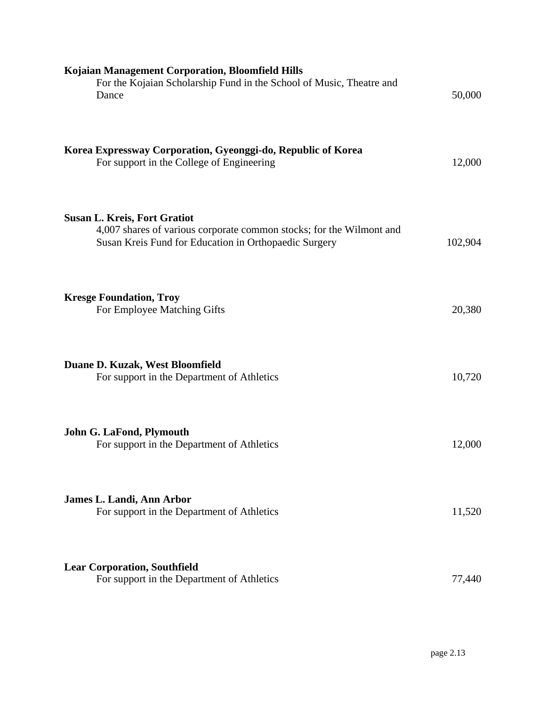| Kojaian Management Corporation, Bloomfield Hills<br>For the Kojaian Scholarship Fund in the School of Music, Theatre and<br>Dance                                    | 50,000  |
|----------------------------------------------------------------------------------------------------------------------------------------------------------------------|---------|
| Korea Expressway Corporation, Gyeonggi-do, Republic of Korea<br>For support in the College of Engineering                                                            | 12,000  |
| <b>Susan L. Kreis, Fort Gratiot</b><br>4,007 shares of various corporate common stocks; for the Wilmont and<br>Susan Kreis Fund for Education in Orthopaedic Surgery | 102,904 |
| <b>Kresge Foundation, Troy</b><br>For Employee Matching Gifts                                                                                                        | 20,380  |
| Duane D. Kuzak, West Bloomfield<br>For support in the Department of Athletics                                                                                        | 10,720  |
| John G. LaFond, Plymouth<br>For support in the Department of Athletics                                                                                               | 12,000  |
| James L. Landi, Ann Arbor<br>For support in the Department of Athletics                                                                                              | 11,520  |
| <b>Lear Corporation, Southfield</b><br>For support in the Department of Athletics                                                                                    | 77,440  |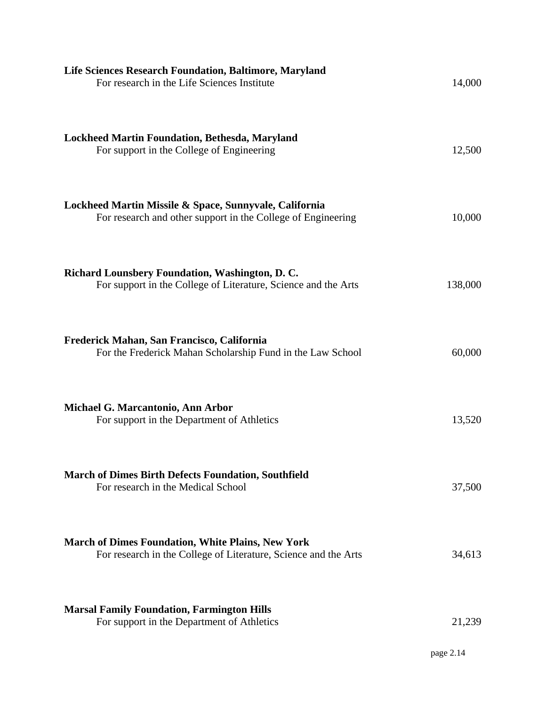| 14,000              |
|---------------------|
| 12,500              |
| 10,000              |
| 138,000             |
| 60,000              |
| 13,520              |
| 37,500              |
| 34,613              |
| 21,239<br>page 2.14 |
|                     |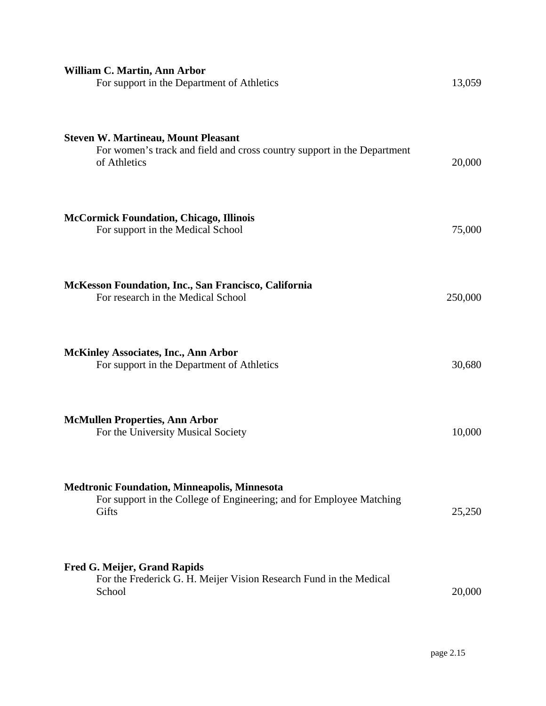| William C. Martin, Ann Arbor<br>For support in the Department of Athletics                                                            | 13,059  |
|---------------------------------------------------------------------------------------------------------------------------------------|---------|
| <b>Steven W. Martineau, Mount Pleasant</b><br>For women's track and field and cross country support in the Department<br>of Athletics | 20,000  |
| <b>McCormick Foundation, Chicago, Illinois</b><br>For support in the Medical School                                                   | 75,000  |
| McKesson Foundation, Inc., San Francisco, California<br>For research in the Medical School                                            | 250,000 |
| <b>McKinley Associates, Inc., Ann Arbor</b><br>For support in the Department of Athletics                                             | 30,680  |
| <b>McMullen Properties, Ann Arbor</b><br>For the University Musical Society                                                           | 10,000  |
| <b>Medtronic Foundation, Minneapolis, Minnesota</b><br>For support in the College of Engineering; and for Employee Matching<br>Gifts  | 25,250  |
| <b>Fred G. Meijer, Grand Rapids</b><br>For the Frederick G. H. Meijer Vision Research Fund in the Medical<br>School                   | 20,000  |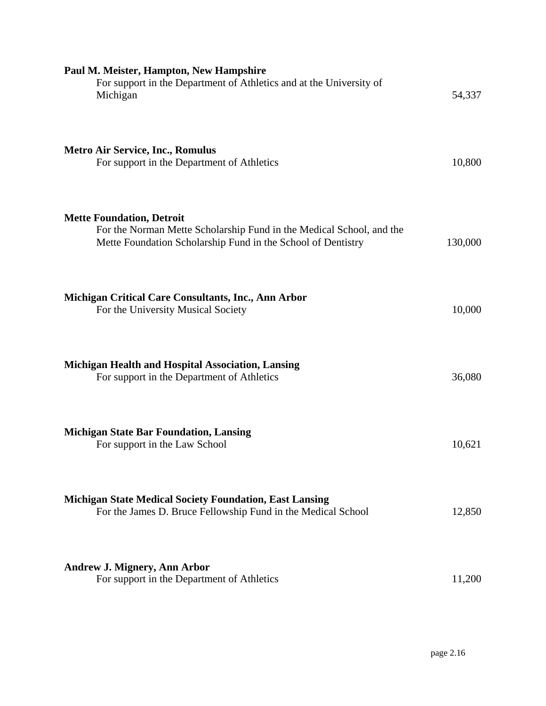| Paul M. Meister, Hampton, New Hampshire<br>For support in the Department of Athletics and at the University of<br>Michigan                                               | 54,337  |
|--------------------------------------------------------------------------------------------------------------------------------------------------------------------------|---------|
| <b>Metro Air Service, Inc., Romulus</b><br>For support in the Department of Athletics                                                                                    | 10,800  |
| <b>Mette Foundation, Detroit</b><br>For the Norman Mette Scholarship Fund in the Medical School, and the<br>Mette Foundation Scholarship Fund in the School of Dentistry | 130,000 |
| <b>Michigan Critical Care Consultants, Inc., Ann Arbor</b><br>For the University Musical Society                                                                         | 10,000  |
| Michigan Health and Hospital Association, Lansing<br>For support in the Department of Athletics                                                                          | 36,080  |
| <b>Michigan State Bar Foundation, Lansing</b><br>For support in the Law School                                                                                           | 10,621  |
| <b>Michigan State Medical Society Foundation, East Lansing</b><br>For the James D. Bruce Fellowship Fund in the Medical School                                           | 12,850  |
| <b>Andrew J. Mignery, Ann Arbor</b><br>For support in the Department of Athletics                                                                                        | 11,200  |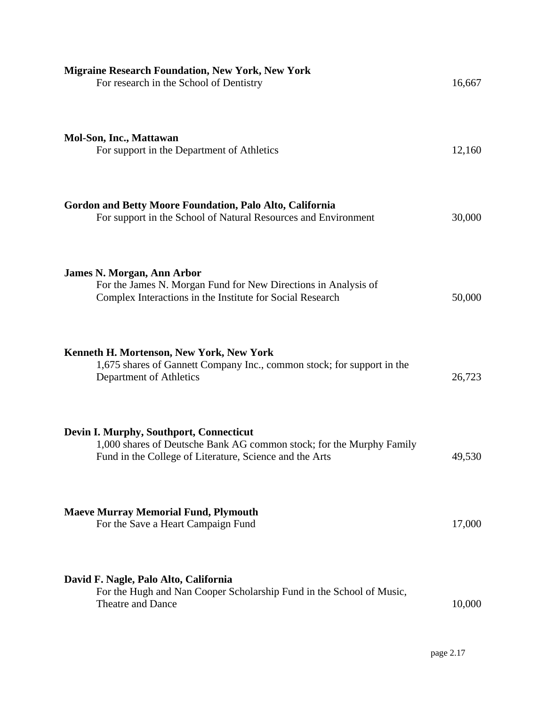| <b>Migraine Research Foundation, New York, New York</b><br>For research in the School of Dentistry                                                                         | 16,667 |
|----------------------------------------------------------------------------------------------------------------------------------------------------------------------------|--------|
| <b>Mol-Son, Inc., Mattawan</b><br>For support in the Department of Athletics                                                                                               | 12,160 |
| Gordon and Betty Moore Foundation, Palo Alto, California<br>For support in the School of Natural Resources and Environment                                                 | 30,000 |
| <b>James N. Morgan, Ann Arbor</b><br>For the James N. Morgan Fund for New Directions in Analysis of<br>Complex Interactions in the Institute for Social Research           | 50,000 |
| Kenneth H. Mortenson, New York, New York<br>1,675 shares of Gannett Company Inc., common stock; for support in the<br>Department of Athletics                              | 26,723 |
| Devin I. Murphy, Southport, Connecticut<br>1,000 shares of Deutsche Bank AG common stock; for the Murphy Family<br>Fund in the College of Literature, Science and the Arts | 49,530 |
| <b>Maeve Murray Memorial Fund, Plymouth</b><br>For the Save a Heart Campaign Fund                                                                                          | 17,000 |
| David F. Nagle, Palo Alto, California<br>For the Hugh and Nan Cooper Scholarship Fund in the School of Music,<br>Theatre and Dance                                         | 10,000 |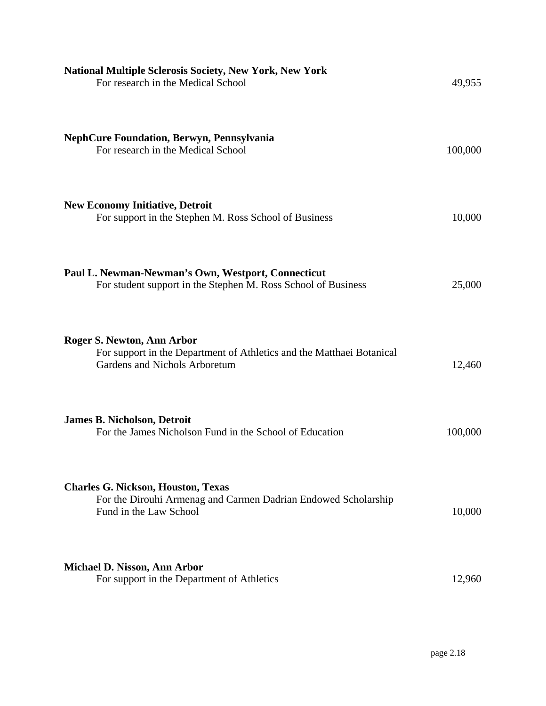| <b>National Multiple Sclerosis Society, New York, New York</b><br>For research in the Medical School                                  | 49,955  |
|---------------------------------------------------------------------------------------------------------------------------------------|---------|
| <b>NephCure Foundation, Berwyn, Pennsylvania</b><br>For research in the Medical School                                                | 100,000 |
| <b>New Economy Initiative, Detroit</b><br>For support in the Stephen M. Ross School of Business                                       | 10,000  |
| Paul L. Newman-Newman's Own, Westport, Connecticut<br>For student support in the Stephen M. Ross School of Business                   | 25,000  |
| Roger S. Newton, Ann Arbor<br>For support in the Department of Athletics and the Matthaei Botanical<br>Gardens and Nichols Arboretum  | 12,460  |
| <b>James B. Nicholson, Detroit</b><br>For the James Nicholson Fund in the School of Education                                         | 100,000 |
| <b>Charles G. Nickson, Houston, Texas</b><br>For the Dirouhi Armenag and Carmen Dadrian Endowed Scholarship<br>Fund in the Law School | 10,000  |
| Michael D. Nisson, Ann Arbor<br>For support in the Department of Athletics                                                            | 12,960  |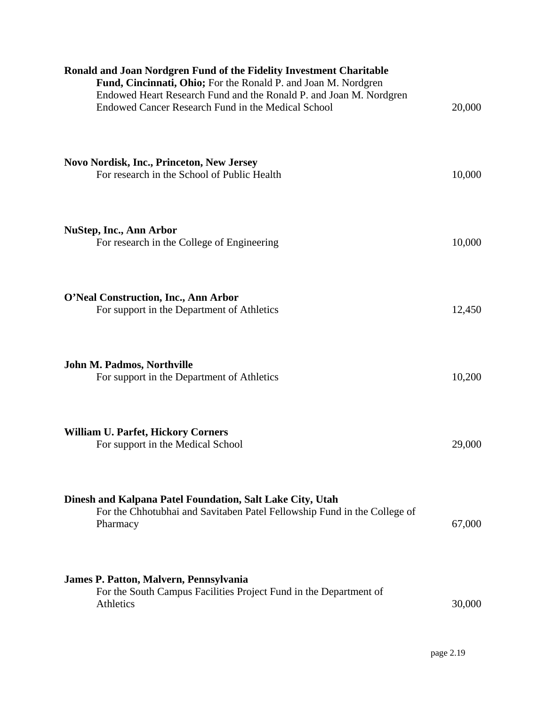| Ronald and Joan Nordgren Fund of the Fidelity Investment Charitable<br>Fund, Cincinnati, Ohio; For the Ronald P. and Joan M. Nordgren<br>Endowed Heart Research Fund and the Ronald P. and Joan M. Nordgren<br>Endowed Cancer Research Fund in the Medical School | 20,000 |
|-------------------------------------------------------------------------------------------------------------------------------------------------------------------------------------------------------------------------------------------------------------------|--------|
| <b>Novo Nordisk, Inc., Princeton, New Jersey</b><br>For research in the School of Public Health                                                                                                                                                                   | 10,000 |
| <b>NuStep, Inc., Ann Arbor</b><br>For research in the College of Engineering                                                                                                                                                                                      | 10,000 |
| O'Neal Construction, Inc., Ann Arbor<br>For support in the Department of Athletics                                                                                                                                                                                | 12,450 |
| John M. Padmos, Northville<br>For support in the Department of Athletics                                                                                                                                                                                          | 10,200 |
| <b>William U. Parfet, Hickory Corners</b><br>For support in the Medical School                                                                                                                                                                                    | 29,000 |
| Dinesh and Kalpana Patel Foundation, Salt Lake City, Utah<br>For the Chhotubhai and Savitaben Patel Fellowship Fund in the College of<br>Pharmacy                                                                                                                 | 67,000 |
| James P. Patton, Malvern, Pennsylvania<br>For the South Campus Facilities Project Fund in the Department of<br>Athletics                                                                                                                                          | 30,000 |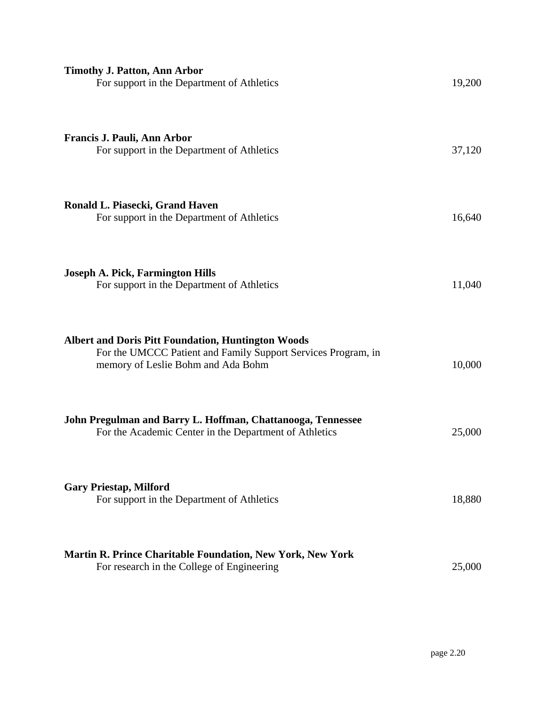| <b>Timothy J. Patton, Ann Arbor</b><br>For support in the Department of Athletics                                                                                | 19,200 |
|------------------------------------------------------------------------------------------------------------------------------------------------------------------|--------|
| Francis J. Pauli, Ann Arbor<br>For support in the Department of Athletics                                                                                        | 37,120 |
| Ronald L. Piasecki, Grand Haven<br>For support in the Department of Athletics                                                                                    | 16,640 |
| <b>Joseph A. Pick, Farmington Hills</b><br>For support in the Department of Athletics                                                                            | 11,040 |
| <b>Albert and Doris Pitt Foundation, Huntington Woods</b><br>For the UMCCC Patient and Family Support Services Program, in<br>memory of Leslie Bohm and Ada Bohm | 10,000 |
| John Pregulman and Barry L. Hoffman, Chattanooga, Tennessee<br>For the Academic Center in the Department of Athletics                                            | 25,000 |
| <b>Gary Priestap, Milford</b><br>For support in the Department of Athletics                                                                                      | 18,880 |
| <b>Martin R. Prince Charitable Foundation, New York, New York</b><br>For research in the College of Engineering                                                  | 25,000 |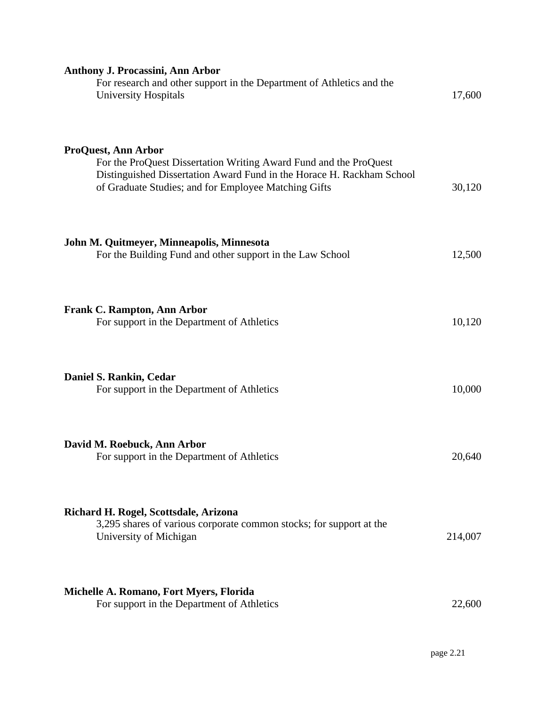| <b>Anthony J. Procassini, Ann Arbor</b><br>For research and other support in the Department of Athletics and the<br><b>University Hospitals</b>                                                                                  | 17,600  |
|----------------------------------------------------------------------------------------------------------------------------------------------------------------------------------------------------------------------------------|---------|
| <b>ProQuest, Ann Arbor</b><br>For the ProQuest Dissertation Writing Award Fund and the ProQuest<br>Distinguished Dissertation Award Fund in the Horace H. Rackham School<br>of Graduate Studies; and for Employee Matching Gifts | 30,120  |
| John M. Quitmeyer, Minneapolis, Minnesota<br>For the Building Fund and other support in the Law School                                                                                                                           | 12,500  |
| <b>Frank C. Rampton, Ann Arbor</b><br>For support in the Department of Athletics                                                                                                                                                 | 10,120  |
| Daniel S. Rankin, Cedar<br>For support in the Department of Athletics                                                                                                                                                            | 10,000  |
| David M. Roebuck, Ann Arbor<br>For support in the Department of Athletics                                                                                                                                                        | 20,640  |
| Richard H. Rogel, Scottsdale, Arizona<br>3,295 shares of various corporate common stocks; for support at the<br>University of Michigan                                                                                           | 214,007 |
| Michelle A. Romano, Fort Myers, Florida<br>For support in the Department of Athletics                                                                                                                                            | 22,600  |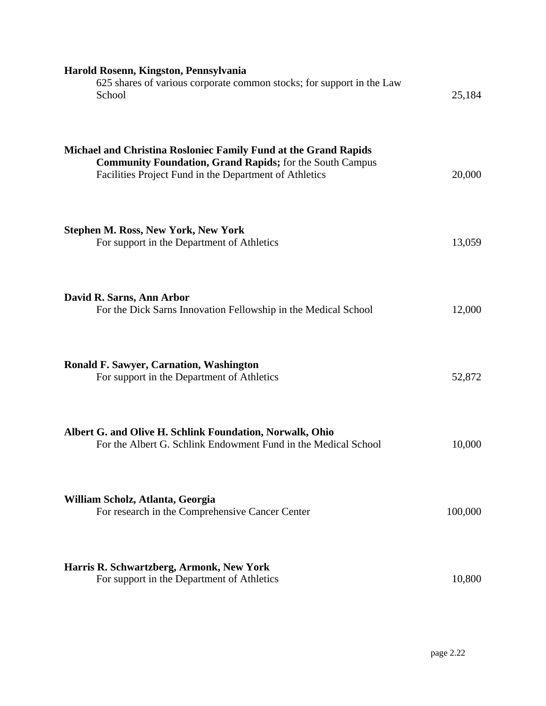| Harold Rosenn, Kingston, Pennsylvania<br>625 shares of various corporate common stocks; for support in the Law<br>School                                                                     | 25,184  |
|----------------------------------------------------------------------------------------------------------------------------------------------------------------------------------------------|---------|
| Michael and Christina Rosloniec Family Fund at the Grand Rapids<br><b>Community Foundation, Grand Rapids; for the South Campus</b><br>Facilities Project Fund in the Department of Athletics | 20,000  |
| <b>Stephen M. Ross, New York, New York</b><br>For support in the Department of Athletics                                                                                                     | 13,059  |
| David R. Sarns, Ann Arbor<br>For the Dick Sarns Innovation Fellowship in the Medical School                                                                                                  | 12,000  |
| <b>Ronald F. Sawyer, Carnation, Washington</b><br>For support in the Department of Athletics                                                                                                 | 52,872  |
| Albert G. and Olive H. Schlink Foundation, Norwalk, Ohio<br>For the Albert G. Schlink Endowment Fund in the Medical School                                                                   | 10,000  |
| William Scholz, Atlanta, Georgia<br>For research in the Comprehensive Cancer Center                                                                                                          | 100,000 |
| Harris R. Schwartzberg, Armonk, New York<br>For support in the Department of Athletics                                                                                                       | 10,800  |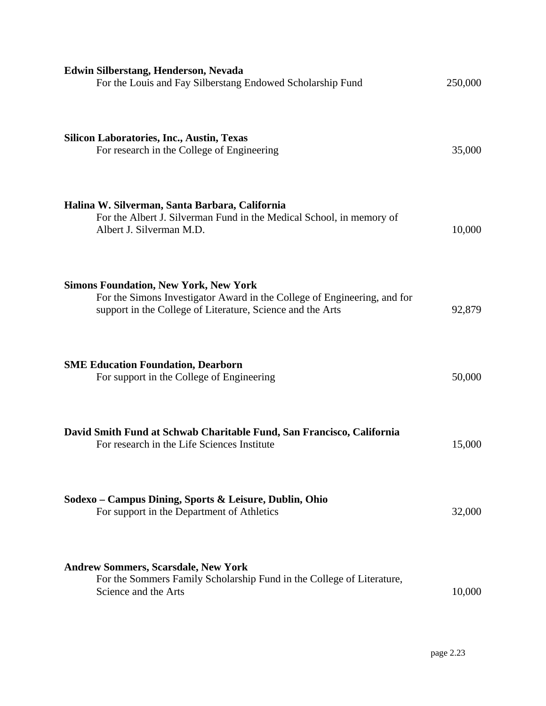| Edwin Silberstang, Henderson, Nevada<br>For the Louis and Fay Silberstang Endowed Scholarship Fund                                                                                     | 250,000 |
|----------------------------------------------------------------------------------------------------------------------------------------------------------------------------------------|---------|
| <b>Silicon Laboratories, Inc., Austin, Texas</b><br>For research in the College of Engineering                                                                                         | 35,000  |
| Halina W. Silverman, Santa Barbara, California<br>For the Albert J. Silverman Fund in the Medical School, in memory of<br>Albert J. Silverman M.D.                                     | 10,000  |
| <b>Simons Foundation, New York, New York</b><br>For the Simons Investigator Award in the College of Engineering, and for<br>support in the College of Literature, Science and the Arts | 92,879  |
| <b>SME Education Foundation, Dearborn</b><br>For support in the College of Engineering                                                                                                 | 50,000  |
| David Smith Fund at Schwab Charitable Fund, San Francisco, California<br>For research in the Life Sciences Institute                                                                   | 15,000  |
| Sodexo – Campus Dining, Sports & Leisure, Dublin, Ohio<br>For support in the Department of Athletics                                                                                   | 32,000  |
| <b>Andrew Sommers, Scarsdale, New York</b><br>For the Sommers Family Scholarship Fund in the College of Literature,<br>Science and the Arts                                            | 10,000  |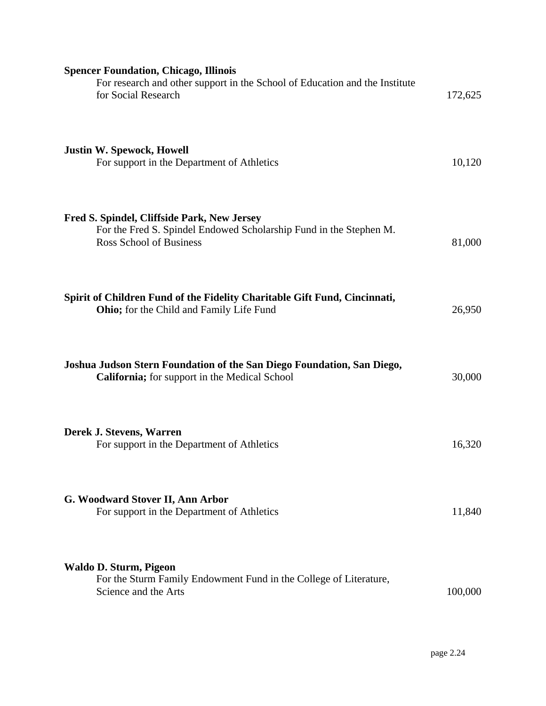| <b>Spencer Foundation, Chicago, Illinois</b><br>For research and other support in the School of Education and the Institute<br>for Social Research  | 172,625 |
|-----------------------------------------------------------------------------------------------------------------------------------------------------|---------|
| <b>Justin W. Spewock, Howell</b><br>For support in the Department of Athletics                                                                      | 10,120  |
| Fred S. Spindel, Cliffside Park, New Jersey<br>For the Fred S. Spindel Endowed Scholarship Fund in the Stephen M.<br><b>Ross School of Business</b> | 81,000  |
| Spirit of Children Fund of the Fidelity Charitable Gift Fund, Cincinnati,<br><b>Ohio;</b> for the Child and Family Life Fund                        | 26,950  |
| Joshua Judson Stern Foundation of the San Diego Foundation, San Diego,<br><b>California;</b> for support in the Medical School                      | 30,000  |
| Derek J. Stevens, Warren<br>For support in the Department of Athletics                                                                              | 16,320  |
| G. Woodward Stover II, Ann Arbor<br>For support in the Department of Athletics                                                                      | 11,840  |
| Waldo D. Sturm, Pigeon<br>For the Sturm Family Endowment Fund in the College of Literature,<br>Science and the Arts                                 | 100,000 |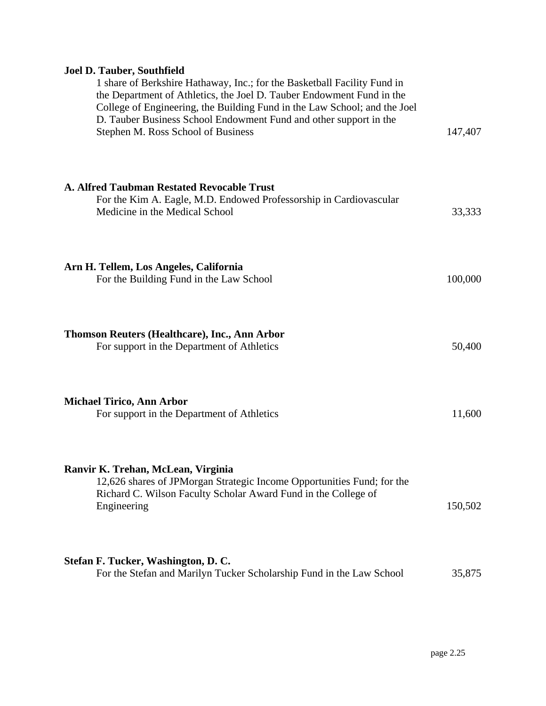## **Joel D. Tauber, Southfield**

| 1 share of Berkshire Hathaway, Inc.; for the Basketball Facility Fund in<br>the Department of Athletics, the Joel D. Tauber Endowment Fund in the<br>College of Engineering, the Building Fund in the Law School; and the Joel<br>D. Tauber Business School Endowment Fund and other support in the<br>Stephen M. Ross School of Business | 147,407 |
|-------------------------------------------------------------------------------------------------------------------------------------------------------------------------------------------------------------------------------------------------------------------------------------------------------------------------------------------|---------|
| A. Alfred Taubman Restated Revocable Trust<br>For the Kim A. Eagle, M.D. Endowed Professorship in Cardiovascular<br>Medicine in the Medical School                                                                                                                                                                                        | 33,333  |
| Arn H. Tellem, Los Angeles, California<br>For the Building Fund in the Law School                                                                                                                                                                                                                                                         | 100,000 |
| Thomson Reuters (Healthcare), Inc., Ann Arbor<br>For support in the Department of Athletics                                                                                                                                                                                                                                               | 50,400  |
| <b>Michael Tirico, Ann Arbor</b><br>For support in the Department of Athletics                                                                                                                                                                                                                                                            | 11,600  |
| Ranvir K. Trehan, McLean, Virginia<br>12,626 shares of JPMorgan Strategic Income Opportunities Fund; for the<br>Richard C. Wilson Faculty Scholar Award Fund in the College of<br>Engineering                                                                                                                                             | 150,502 |
| Stefan F. Tucker, Washington, D. C.<br>For the Stefan and Marilyn Tucker Scholarship Fund in the Law School                                                                                                                                                                                                                               | 35,875  |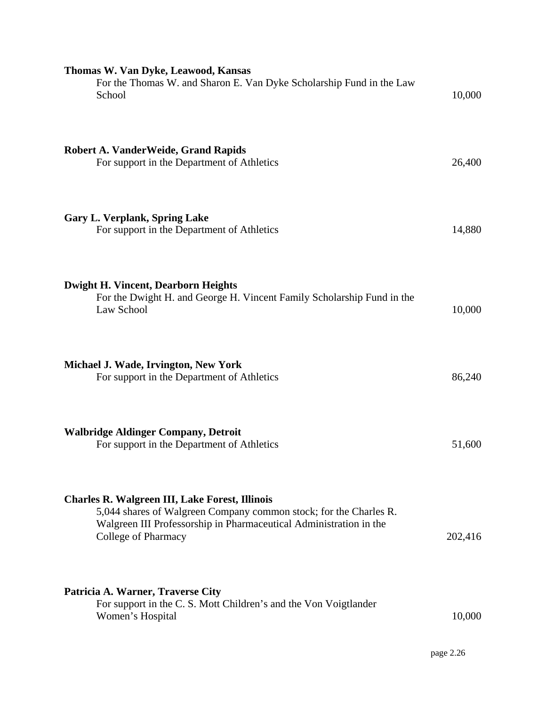| Thomas W. Van Dyke, Leawood, Kansas<br>For the Thomas W. and Sharon E. Van Dyke Scholarship Fund in the Law<br>School                                                                                                          | 10,000  |
|--------------------------------------------------------------------------------------------------------------------------------------------------------------------------------------------------------------------------------|---------|
| <b>Robert A. VanderWeide, Grand Rapids</b><br>For support in the Department of Athletics                                                                                                                                       | 26,400  |
| <b>Gary L. Verplank, Spring Lake</b><br>For support in the Department of Athletics                                                                                                                                             | 14,880  |
| <b>Dwight H. Vincent, Dearborn Heights</b><br>For the Dwight H. and George H. Vincent Family Scholarship Fund in the<br>Law School                                                                                             | 10,000  |
| Michael J. Wade, Irvington, New York<br>For support in the Department of Athletics                                                                                                                                             | 86,240  |
| <b>Walbridge Aldinger Company, Detroit</b><br>For support in the Department of Athletics                                                                                                                                       | 51,600  |
| <b>Charles R. Walgreen III, Lake Forest, Illinois</b><br>5,044 shares of Walgreen Company common stock; for the Charles R.<br>Walgreen III Professorship in Pharmaceutical Administration in the<br><b>College of Pharmacy</b> | 202,416 |
| Patricia A. Warner, Traverse City<br>For support in the C. S. Mott Children's and the Von Voigtlander<br>Women's Hospital                                                                                                      | 10,000  |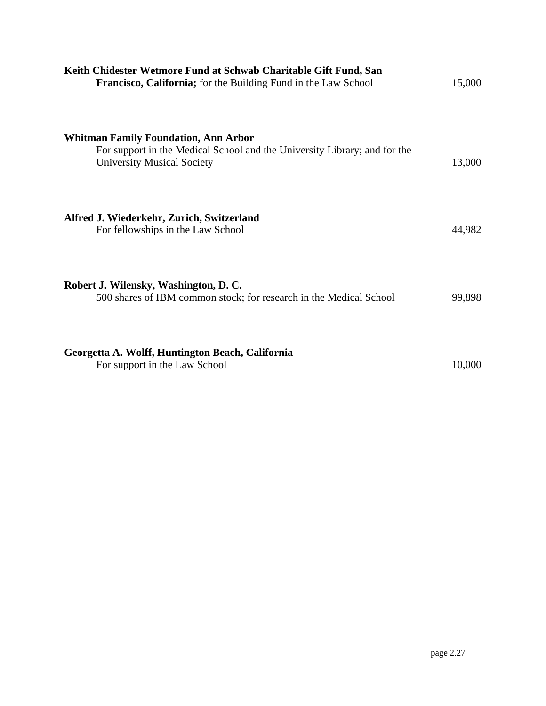| Keith Chidester Wetmore Fund at Schwab Charitable Gift Fund, San<br><b>Francisco, California;</b> for the Building Fund in the Law School                     | 15,000 |
|---------------------------------------------------------------------------------------------------------------------------------------------------------------|--------|
| <b>Whitman Family Foundation, Ann Arbor</b><br>For support in the Medical School and the University Library; and for the<br><b>University Musical Society</b> | 13,000 |
| Alfred J. Wiederkehr, Zurich, Switzerland<br>For fellowships in the Law School                                                                                | 44,982 |
| Robert J. Wilensky, Washington, D. C.<br>500 shares of IBM common stock; for research in the Medical School                                                   | 99,898 |
| Georgetta A. Wolff, Huntington Beach, California<br>For support in the Law School                                                                             | 10,000 |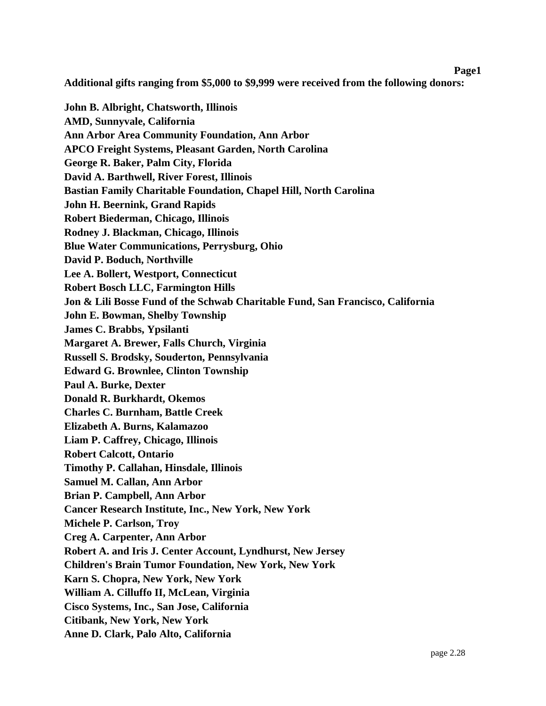### **Page1**

**Additional gifts ranging from \$5,000 to \$9,999 were received from the following donors:** 

**John B. Albright, Chatsworth, Illinois AMD, Sunnyvale, California Ann Arbor Area Community Foundation, Ann Arbor APCO Freight Systems, Pleasant Garden, North Carolina George R. Baker, Palm City, Florida David A. Barthwell, River Forest, Illinois Bastian Family Charitable Foundation, Chapel Hill, North Carolina John H. Beernink, Grand Rapids Robert Biederman, Chicago, Illinois Rodney J. Blackman, Chicago, Illinois Blue Water Communications, Perrysburg, Ohio David P. Boduch, Northville Lee A. Bollert, Westport, Connecticut Robert Bosch LLC, Farmington Hills Jon & Lili Bosse Fund of the Schwab Charitable Fund, San Francisco, California John E. Bowman, Shelby Township James C. Brabbs, Ypsilanti Margaret A. Brewer, Falls Church, Virginia Russell S. Brodsky, Souderton, Pennsylvania Edward G. Brownlee, Clinton Township Paul A. Burke, Dexter Donald R. Burkhardt, Okemos Charles C. Burnham, Battle Creek Elizabeth A. Burns, Kalamazoo Liam P. Caffrey, Chicago, Illinois Robert Calcott, Ontario Timothy P. Callahan, Hinsdale, Illinois Samuel M. Callan, Ann Arbor Brian P. Campbell, Ann Arbor Cancer Research Institute, Inc., New York, New York Michele P. Carlson, Troy Creg A. Carpenter, Ann Arbor Robert A. and Iris J. Center Account, Lyndhurst, New Jersey Children's Brain Tumor Foundation, New York, New York Karn S. Chopra, New York, New York William A. Cilluffo II, McLean, Virginia Cisco Systems, Inc., San Jose, California Citibank, New York, New York Anne D. Clark, Palo Alto, California**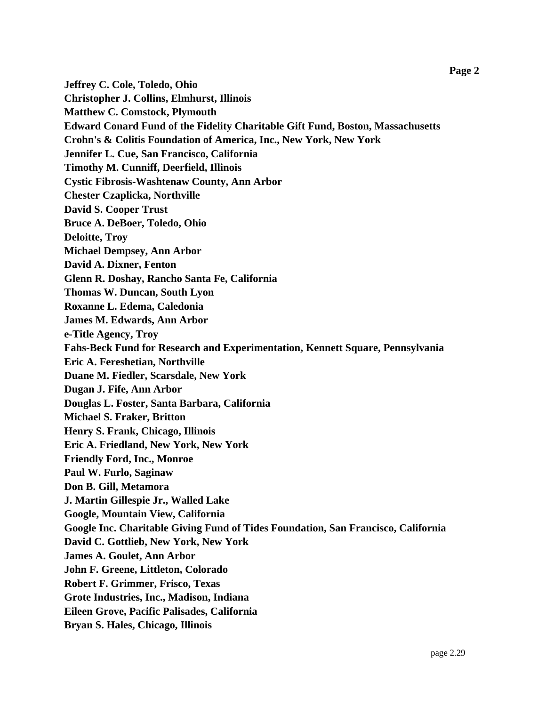**Jeffrey C. Cole, Toledo, Ohio Christopher J. Collins, Elmhurst, Illinois Matthew C. Comstock, Plymouth Edward Conard Fund of the Fidelity Charitable Gift Fund, Boston, Massachusetts Crohn's & Colitis Foundation of America, Inc., New York, New York Jennifer L. Cue, San Francisco, California Timothy M. Cunniff, Deerfield, Illinois Cystic Fibrosis-Washtenaw County, Ann Arbor Chester Czaplicka, Northville David S. Cooper Trust Bruce A. DeBoer, Toledo, Ohio Deloitte, Troy Michael Dempsey, Ann Arbor David A. Dixner, Fenton Glenn R. Doshay, Rancho Santa Fe, California Thomas W. Duncan, South Lyon Roxanne L. Edema, Caledonia James M. Edwards, Ann Arbor e-Title Agency, Troy Fahs-Beck Fund for Research and Experimentation, Kennett Square, Pennsylvania Eric A. Fereshetian, Northville Duane M. Fiedler, Scarsdale, New York Dugan J. Fife, Ann Arbor Douglas L. Foster, Santa Barbara, California Michael S. Fraker, Britton Henry S. Frank, Chicago, Illinois Eric A. Friedland, New York, New York Friendly Ford, Inc., Monroe Paul W. Furlo, Saginaw Don B. Gill, Metamora J. Martin Gillespie Jr., Walled Lake Google, Mountain View, California Google Inc. Charitable Giving Fund of Tides Foundation, San Francisco, California David C. Gottlieb, New York, New York James A. Goulet, Ann Arbor John F. Greene, Littleton, Colorado Robert F. Grimmer, Frisco, Texas Grote Industries, Inc., Madison, Indiana Eileen Grove, Pacific Palisades, California Bryan S. Hales, Chicago, Illinois**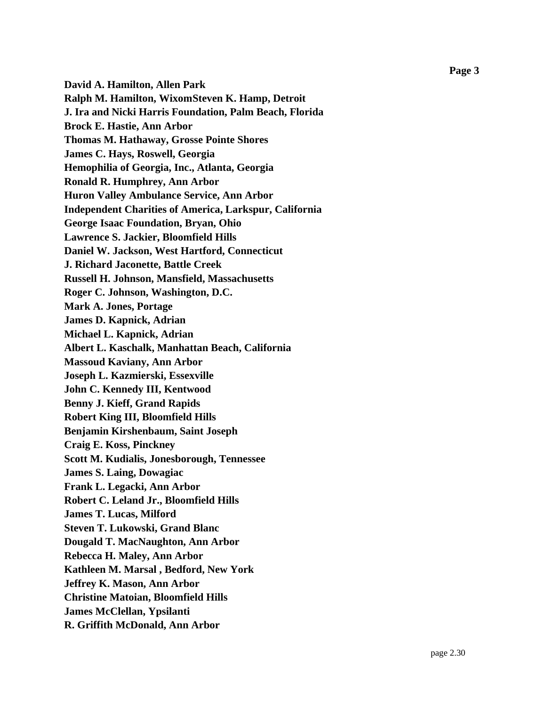**David A. Hamilton, Allen Park Ralph M. Hamilton, WixomSteven K. Hamp, Detroit J. Ira and Nicki Harris Foundation, Palm Beach, Florida Brock E. Hastie, Ann Arbor Thomas M. Hathaway, Grosse Pointe Shores James C. Hays, Roswell, Georgia Hemophilia of Georgia, Inc., Atlanta, Georgia Ronald R. Humphrey, Ann Arbor Huron Valley Ambulance Service, Ann Arbor Independent Charities of America, Larkspur, California George Isaac Foundation, Bryan, Ohio Lawrence S. Jackier, Bloomfield Hills Daniel W. Jackson, West Hartford, Connecticut J. Richard Jaconette, Battle Creek Russell H. Johnson, Mansfield, Massachusetts Roger C. Johnson, Washington, D.C. Mark A. Jones, Portage James D. Kapnick, Adrian Michael L. Kapnick, Adrian Albert L. Kaschalk, Manhattan Beach, California Massoud Kaviany, Ann Arbor Joseph L. Kazmierski, Essexville John C. Kennedy III, Kentwood Benny J. Kieff, Grand Rapids Robert King III, Bloomfield Hills Benjamin Kirshenbaum, Saint Joseph Craig E. Koss, Pinckney Scott M. Kudialis, Jonesborough, Tennessee James S. Laing, Dowagiac Frank L. Legacki, Ann Arbor Robert C. Leland Jr., Bloomfield Hills James T. Lucas, Milford Steven T. Lukowski, Grand Blanc Dougald T. MacNaughton, Ann Arbor Rebecca H. Maley, Ann Arbor Kathleen M. Marsal , Bedford, New York Jeffrey K. Mason, Ann Arbor Christine Matoian, Bloomfield Hills James McClellan, Ypsilanti R. Griffith McDonald, Ann Arbor**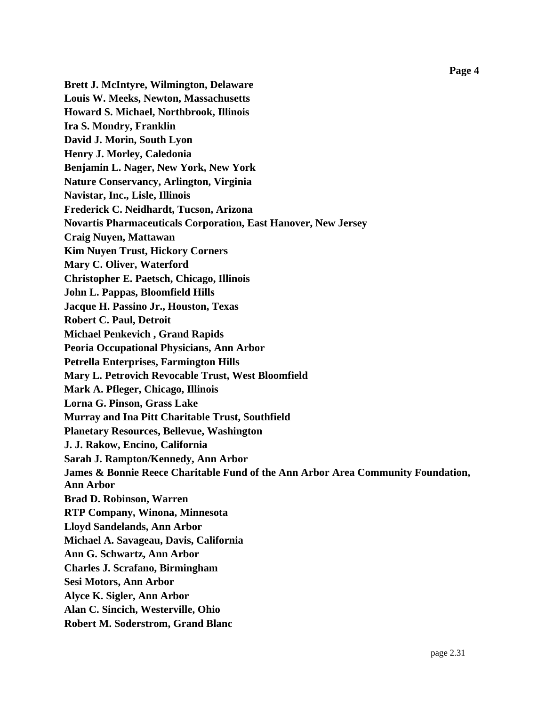**Brett J. McIntyre, Wilmington, Delaware Louis W. Meeks, Newton, Massachusetts Howard S. Michael, Northbrook, Illinois Ira S. Mondry, Franklin David J. Morin, South Lyon Henry J. Morley, Caledonia Benjamin L. Nager, New York, New York Nature Conservancy, Arlington, Virginia Navistar, Inc., Lisle, Illinois Frederick C. Neidhardt, Tucson, Arizona Novartis Pharmaceuticals Corporation, East Hanover, New Jersey Craig Nuyen, Mattawan Kim Nuyen Trust, Hickory Corners Mary C. Oliver, Waterford Christopher E. Paetsch, Chicago, Illinois John L. Pappas, Bloomfield Hills Jacque H. Passino Jr., Houston, Texas Robert C. Paul, Detroit Michael Penkevich , Grand Rapids Peoria Occupational Physicians, Ann Arbor Petrella Enterprises, Farmington Hills Mary L. Petrovich Revocable Trust, West Bloomfield Mark A. Pfleger, Chicago, Illinois Lorna G. Pinson, Grass Lake Murray and Ina Pitt Charitable Trust, Southfield Planetary Resources, Bellevue, Washington J. J. Rakow, Encino, California Sarah J. Rampton/Kennedy, Ann Arbor James & Bonnie Reece Charitable Fund of the Ann Arbor Area Community Foundation, Ann Arbor Brad D. Robinson, Warren RTP Company, Winona, Minnesota Lloyd Sandelands, Ann Arbor Michael A. Savageau, Davis, California Ann G. Schwartz, Ann Arbor Charles J. Scrafano, Birmingham Sesi Motors, Ann Arbor Alyce K. Sigler, Ann Arbor Alan C. Sincich, Westerville, Ohio Robert M. Soderstrom, Grand Blanc**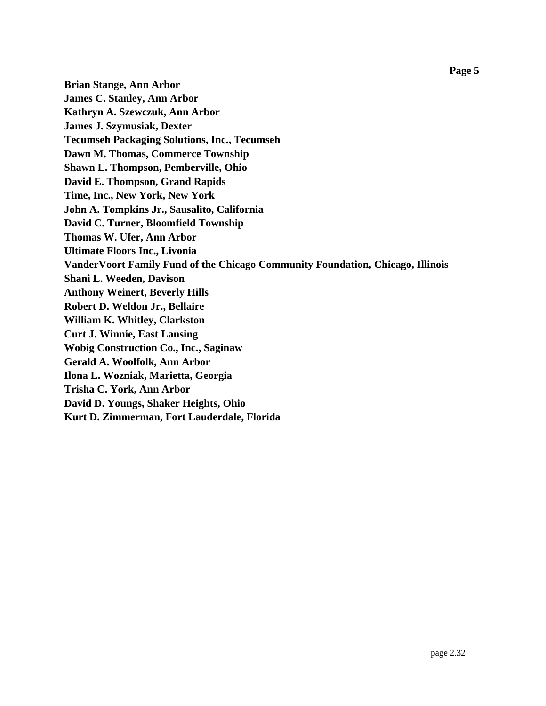**Brian Stange, Ann Arbor James C. Stanley, Ann Arbor Kathryn A. Szewczuk, Ann Arbor James J. Szymusiak, Dexter Tecumseh Packaging Solutions, Inc., Tecumseh Dawn M. Thomas, Commerce Township Shawn L. Thompson, Pemberville, Ohio David E. Thompson, Grand Rapids Time, Inc., New York, New York John A. Tompkins Jr., Sausalito, California David C. Turner, Bloomfield Township Thomas W. Ufer, Ann Arbor Ultimate Floors Inc., Livonia VanderVoort Family Fund of the Chicago Community Foundation, Chicago, Illinois Shani L. Weeden, Davison Anthony Weinert, Beverly Hills Robert D. Weldon Jr., Bellaire William K. Whitley, Clarkston Curt J. Winnie, East Lansing Wobig Construction Co., Inc., Saginaw Gerald A. Woolfolk, Ann Arbor Ilona L. Wozniak, Marietta, Georgia Trisha C. York, Ann Arbor David D. Youngs, Shaker Heights, Ohio Kurt D. Zimmerman, Fort Lauderdale, Florida**